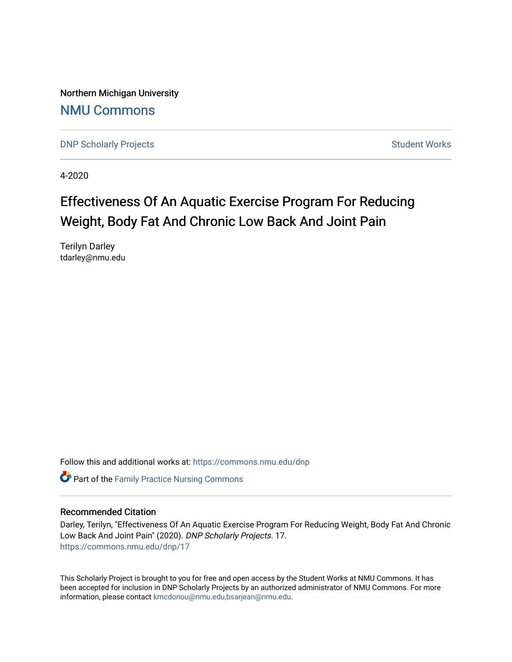Northern Michigan University [NMU Commons](https://commons.nmu.edu/) 

[DNP Scholarly Projects](https://commons.nmu.edu/dnp) **Student Works** [Student Works](https://commons.nmu.edu/student_works) Student Works

4-2020

# Effectiveness Of An Aquatic Exercise Program For Reducing Weight, Body Fat And Chronic Low Back And Joint Pain

Terilyn Darley tdarley@nmu.edu

Follow this and additional works at: [https://commons.nmu.edu/dnp](https://commons.nmu.edu/dnp?utm_source=commons.nmu.edu%2Fdnp%2F17&utm_medium=PDF&utm_campaign=PDFCoverPages) 

**C** Part of the Family Practice Nursing Commons

#### Recommended Citation

Darley, Terilyn, "Effectiveness Of An Aquatic Exercise Program For Reducing Weight, Body Fat And Chronic Low Back And Joint Pain" (2020). DNP Scholarly Projects. 17. [https://commons.nmu.edu/dnp/17](https://commons.nmu.edu/dnp/17?utm_source=commons.nmu.edu%2Fdnp%2F17&utm_medium=PDF&utm_campaign=PDFCoverPages) 

This Scholarly Project is brought to you for free and open access by the Student Works at NMU Commons. It has been accepted for inclusion in DNP Scholarly Projects by an authorized administrator of NMU Commons. For more information, please contact [kmcdonou@nmu.edu,bsarjean@nmu.edu](mailto:kmcdonou@nmu.edu,bsarjean@nmu.edu).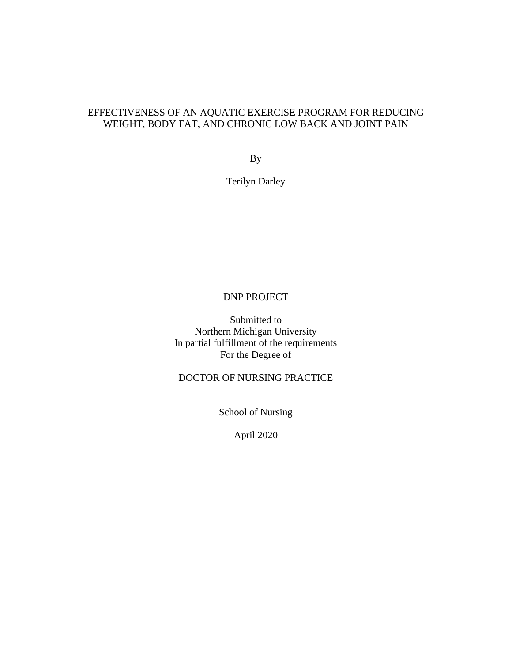# EFFECTIVENESS OF AN AQUATIC EXERCISE PROGRAM FOR REDUCING WEIGHT, BODY FAT, AND CHRONIC LOW BACK AND JOINT PAIN

By

Terilyn Darley

### DNP PROJECT

Submitted to Northern Michigan University In partial fulfillment of the requirements For the Degree of

DOCTOR OF NURSING PRACTICE

School of Nursing

April 2020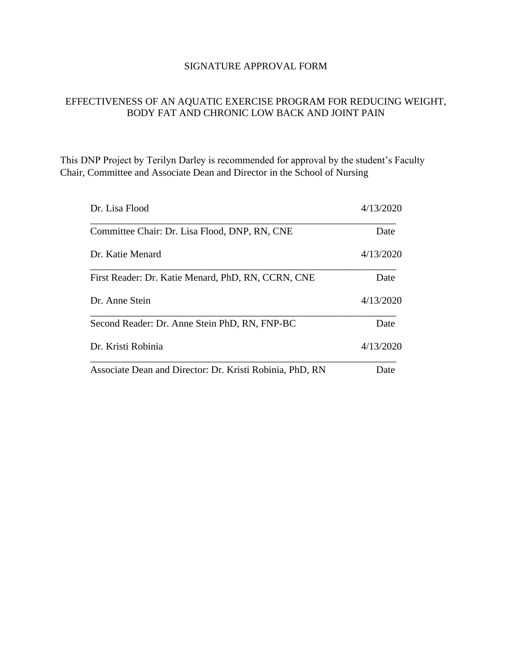## SIGNATURE APPROVAL FORM

# EFFECTIVENESS OF AN AQUATIC EXERCISE PROGRAM FOR REDUCING WEIGHT, BODY FAT AND CHRONIC LOW BACK AND JOINT PAIN

This DNP Project by Terilyn Darley is recommended for approval by the student's Faculty Chair, Committee and Associate Dean and Director in the School of Nursing

| Dr. Lisa Flood                                           | 4/13/2020 |
|----------------------------------------------------------|-----------|
| Committee Chair: Dr. Lisa Flood, DNP, RN, CNE            | Date      |
| Dr. Katie Menard                                         | 4/13/2020 |
| First Reader: Dr. Katie Menard, PhD, RN, CCRN, CNE       | Date      |
| Dr. Anne Stein                                           | 4/13/2020 |
| Second Reader: Dr. Anne Stein PhD, RN, FNP-BC            | Date      |
| Dr. Kristi Robinia                                       | 4/13/2020 |
| Associate Dean and Director: Dr. Kristi Robinia, PhD, RN | Date      |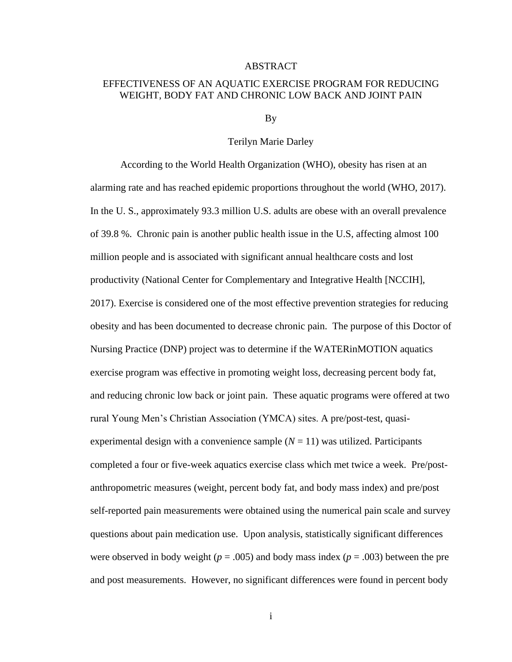#### ABSTRACT

### EFFECTIVENESS OF AN AQUATIC EXERCISE PROGRAM FOR REDUCING WEIGHT, BODY FAT AND CHRONIC LOW BACK AND JOINT PAIN

By

#### Terilyn Marie Darley

According to the World Health Organization (WHO), obesity has risen at an alarming rate and has reached epidemic proportions throughout the world (WHO, 2017). In the U. S., approximately 93.3 million U.S. adults are obese with an overall prevalence of 39.8 %. Chronic pain is another public health issue in the U.S, affecting almost 100 million people and is associated with significant annual healthcare costs and lost productivity (National Center for Complementary and Integrative Health [NCCIH], 2017). Exercise is considered one of the most effective prevention strategies for reducing obesity and has been documented to decrease chronic pain. The purpose of this Doctor of Nursing Practice (DNP) project was to determine if the WATERinMOTION aquatics exercise program was effective in promoting weight loss, decreasing percent body fat, and reducing chronic low back or joint pain. These aquatic programs were offered at two rural Young Men's Christian Association (YMCA) sites. A pre/post-test, quasiexperimental design with a convenience sample  $(N = 11)$  was utilized. Participants completed a four or five-week aquatics exercise class which met twice a week. Pre/postanthropometric measures (weight, percent body fat, and body mass index) and pre/post self-reported pain measurements were obtained using the numerical pain scale and survey questions about pain medication use. Upon analysis, statistically significant differences were observed in body weight ( $p = .005$ ) and body mass index ( $p = .003$ ) between the pre and post measurements. However, no significant differences were found in percent body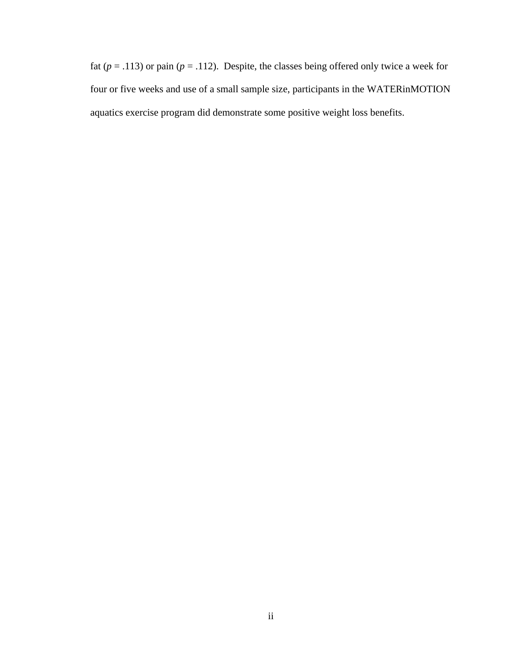fat ( $p = .113$ ) or pain ( $p = .112$ ). Despite, the classes being offered only twice a week for four or five weeks and use of a small sample size, participants in the WATERinMOTION aquatics exercise program did demonstrate some positive weight loss benefits.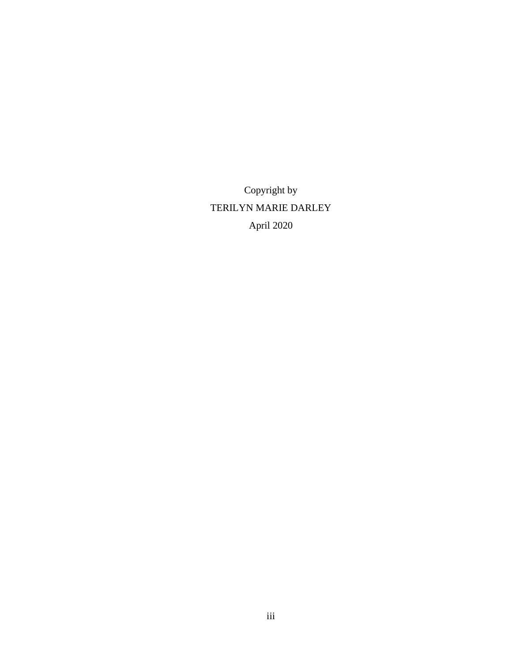Copyright by TERILYN MARIE DARLEY April 2020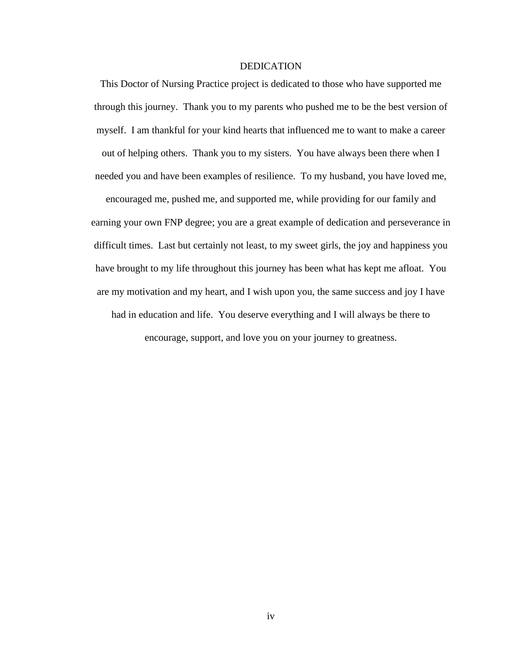#### DEDICATION

This Doctor of Nursing Practice project is dedicated to those who have supported me through this journey. Thank you to my parents who pushed me to be the best version of myself. I am thankful for your kind hearts that influenced me to want to make a career out of helping others. Thank you to my sisters. You have always been there when I needed you and have been examples of resilience. To my husband, you have loved me, encouraged me, pushed me, and supported me, while providing for our family and earning your own FNP degree; you are a great example of dedication and perseverance in difficult times. Last but certainly not least, to my sweet girls, the joy and happiness you have brought to my life throughout this journey has been what has kept me afloat. You

are my motivation and my heart, and I wish upon you, the same success and joy I have

had in education and life. You deserve everything and I will always be there to encourage, support, and love you on your journey to greatness.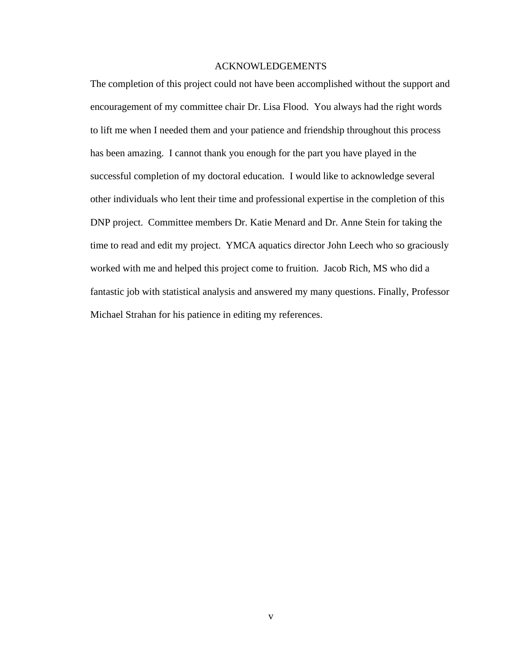#### ACKNOWLEDGEMENTS

The completion of this project could not have been accomplished without the support and encouragement of my committee chair Dr. Lisa Flood. You always had the right words to lift me when I needed them and your patience and friendship throughout this process has been amazing. I cannot thank you enough for the part you have played in the successful completion of my doctoral education. I would like to acknowledge several other individuals who lent their time and professional expertise in the completion of this DNP project. Committee members Dr. Katie Menard and Dr. Anne Stein for taking the time to read and edit my project. YMCA aquatics director John Leech who so graciously worked with me and helped this project come to fruition. Jacob Rich, MS who did a fantastic job with statistical analysis and answered my many questions. Finally, Professor Michael Strahan for his patience in editing my references.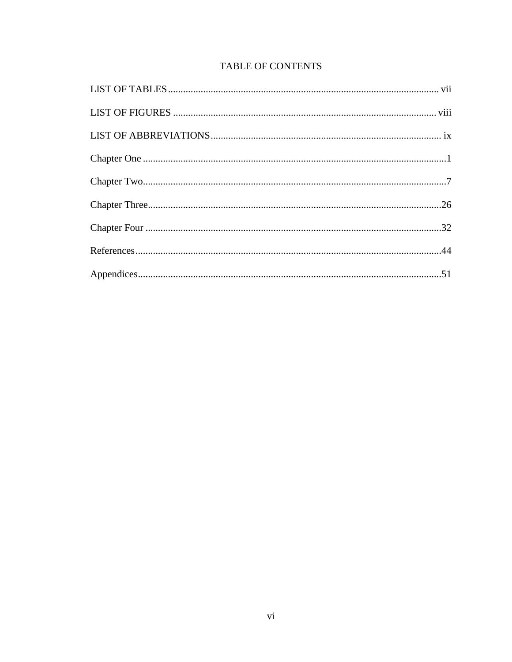# TABLE OF CONTENTS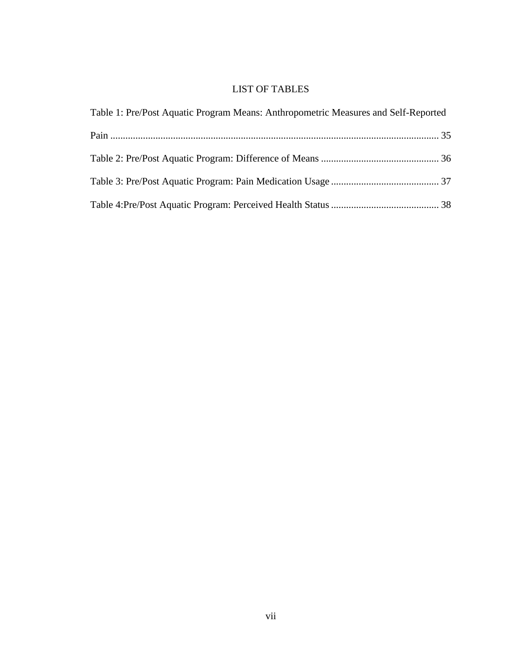# LIST OF TABLES

<span id="page-9-0"></span>

| Table 1: Pre/Post Aquatic Program Means: Anthropometric Measures and Self-Reported |  |
|------------------------------------------------------------------------------------|--|
|                                                                                    |  |
|                                                                                    |  |
|                                                                                    |  |
|                                                                                    |  |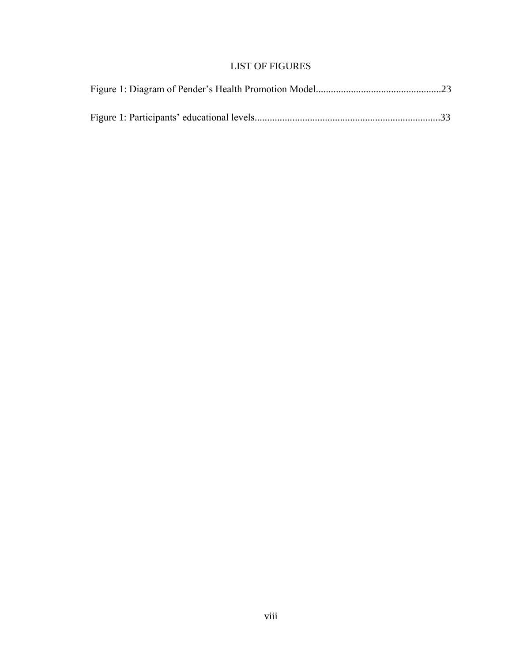# LIST OF FIGURES

<span id="page-10-0"></span>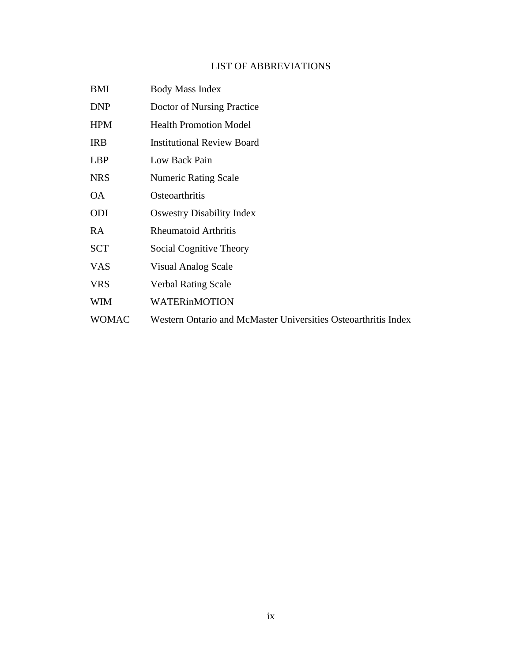### LIST OF ABBREVIATIONS

- <span id="page-11-0"></span>BMI Body Mass Index
- DNP Doctor of Nursing Practice
- HPM Health Promotion Model
- IRB Institutional Review Board
- LBP Low Back Pain
- NRS Numeric Rating Scale
- OA Osteoarthritis
- ODI Oswestry Disability Index
- RA Rheumatoid Arthritis
- SCT Social Cognitive Theory
- VAS Visual Analog Scale
- VRS Verbal Rating Scale
- WIM WATERinMOTION
- WOMAC Western Ontario and McMaster Universities Osteoarthritis Index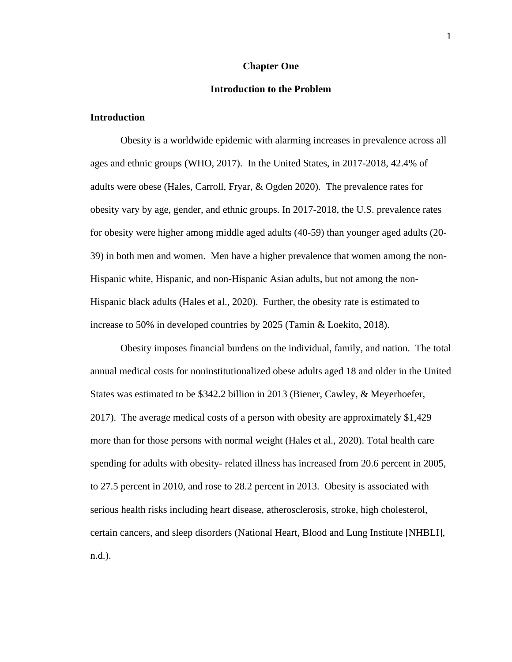#### **Chapter One**

#### **Introduction to the Problem**

#### <span id="page-12-0"></span>**Introduction**

Obesity is a worldwide epidemic with alarming increases in prevalence across all ages and ethnic groups (WHO, 2017). In the United States, in 2017-2018, 42.4% of adults were obese (Hales, Carroll, Fryar, & Ogden 2020). The prevalence rates for obesity vary by age, gender, and ethnic groups. In 2017-2018, the U.S. prevalence rates for obesity were higher among middle aged adults (40-59) than younger aged adults (20- 39) in both men and women. Men have a higher prevalence that women among the non-Hispanic white, Hispanic, and non-Hispanic Asian adults, but not among the non-Hispanic black adults (Hales et al., 2020). Further, the obesity rate is estimated to increase to 50% in developed countries by 2025 (Tamin & Loekito, 2018).

Obesity imposes financial burdens on the individual, family, and nation. The total annual medical costs for noninstitutionalized obese adults aged 18 and older in the United States was estimated to be \$342.2 billion in 2013 (Biener, Cawley, & Meyerhoefer, 2017). The average medical costs of a person with obesity are approximately \$1,429 more than for those persons with normal weight (Hales et al., 2020). Total health care spending for adults with obesity- related illness has increased from 20.6 percent in 2005, to 27.5 percent in 2010, and rose to 28.2 percent in 2013. Obesity is associated with serious health risks including heart disease, atherosclerosis, stroke, high cholesterol, certain cancers, and sleep disorders (National Heart, Blood and Lung Institute [NHBLI], n.d.).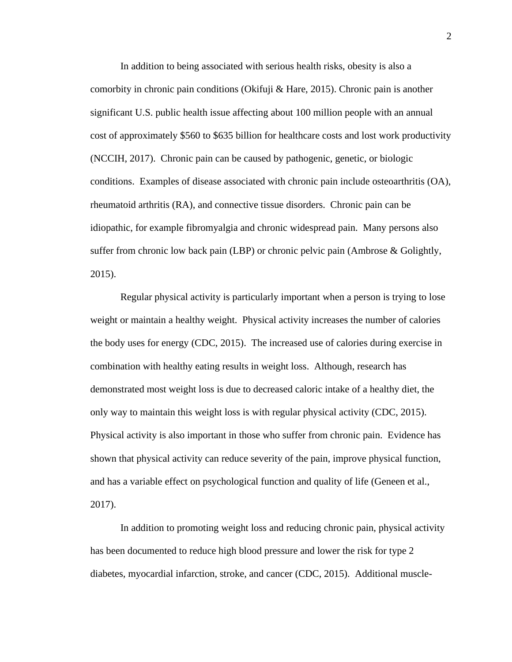In addition to being associated with serious health risks, obesity is also a comorbity in chronic pain conditions (Okifuji & Hare, 2015). Chronic pain is another significant U.S. public health issue affecting about 100 million people with an annual cost of approximately \$560 to \$635 billion for healthcare costs and lost work productivity (NCCIH, 2017). Chronic pain can be caused by pathogenic, genetic, or biologic conditions. Examples of disease associated with chronic pain include osteoarthritis (OA), rheumatoid arthritis (RA), and connective tissue disorders. Chronic pain can be idiopathic, for example fibromyalgia and chronic widespread pain. Many persons also suffer from chronic low back pain (LBP) or chronic pelvic pain (Ambrose & Golightly, 2015).

Regular physical activity is particularly important when a person is trying to lose weight or maintain a healthy weight. Physical activity increases the number of calories the body uses for energy (CDC, 2015). The increased use of calories during exercise in combination with healthy eating results in weight loss. Although, research has demonstrated most weight loss is due to decreased caloric intake of a healthy diet, the only way to maintain this weight loss is with regular physical activity (CDC, 2015). Physical activity is also important in those who suffer from chronic pain. Evidence has shown that physical activity can reduce severity of the pain, improve physical function, and has a variable effect on psychological function and quality of life (Geneen et al., 2017).

In addition to promoting weight loss and reducing chronic pain, physical activity has been documented to reduce high blood pressure and lower the risk for type 2 diabetes, myocardial infarction, stroke, and cancer (CDC, 2015). Additional muscle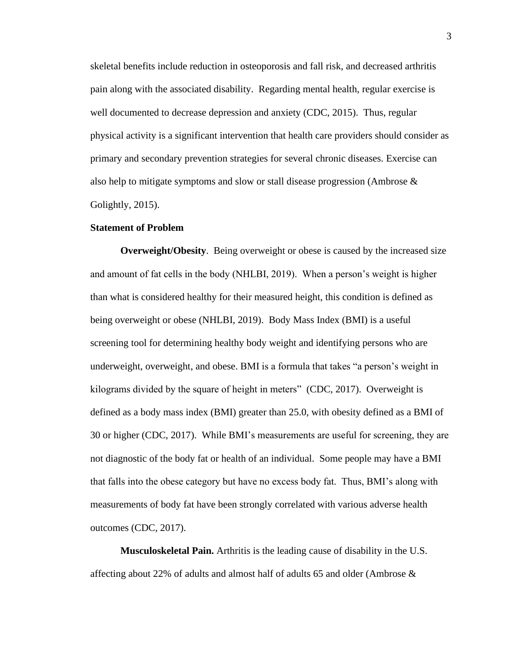skeletal benefits include reduction in osteoporosis and fall risk, and decreased arthritis pain along with the associated disability. Regarding mental health, regular exercise is well documented to decrease depression and anxiety (CDC, 2015). Thus, regular physical activity is a significant intervention that health care providers should consider as primary and secondary prevention strategies for several chronic diseases. Exercise can also help to mitigate symptoms and slow or stall disease progression (Ambrose & Golightly, 2015).

#### **Statement of Problem**

**Overweight/Obesity**. Being overweight or obese is caused by the increased size and amount of fat cells in the body (NHLBI, 2019). When a person's weight is higher than what is considered healthy for their measured height, this condition is defined as being overweight or obese (NHLBI, 2019). Body Mass Index (BMI) is a useful screening tool for determining healthy body weight and identifying persons who are underweight, overweight, and obese. BMI is a formula that takes "a person's weight in kilograms divided by the square of height in meters" (CDC, 2017). Overweight is defined as a body mass index (BMI) greater than 25.0, with obesity defined as a BMI of 30 or higher (CDC, 2017). While BMI's measurements are useful for screening, they are not diagnostic of the body fat or health of an individual. Some people may have a BMI that falls into the obese category but have no excess body fat. Thus, BMI's along with measurements of body fat have been strongly correlated with various adverse health outcomes (CDC, 2017).

**Musculoskeletal Pain.** Arthritis is the leading cause of disability in the U.S. affecting about 22% of adults and almost half of adults 65 and older (Ambrose &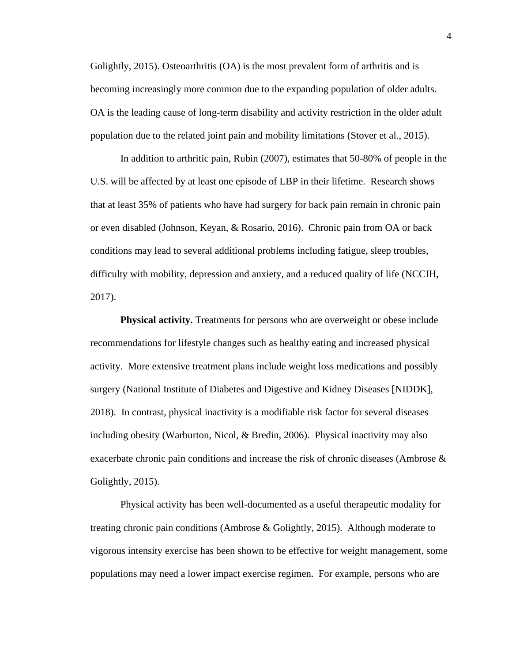Golightly, 2015). Osteoarthritis (OA) is the most prevalent form of arthritis and is becoming increasingly more common due to the expanding population of older adults. OA is the leading cause of long-term disability and activity restriction in the older adult population due to the related joint pain and mobility limitations (Stover et al., 2015).

In addition to arthritic pain, Rubin (2007), estimates that 50-80% of people in the U.S. will be affected by at least one episode of LBP in their lifetime. Research shows that at least 35% of patients who have had surgery for back pain remain in chronic pain or even disabled (Johnson, Keyan, & Rosario, 2016). Chronic pain from OA or back conditions may lead to several additional problems including fatigue, sleep troubles, difficulty with mobility, depression and anxiety, and a reduced quality of life (NCCIH, 2017).

**Physical activity.** Treatments for persons who are overweight or obese include recommendations for lifestyle changes such as healthy eating and increased physical activity. More extensive treatment plans include weight loss medications and possibly surgery (National Institute of Diabetes and Digestive and Kidney Diseases [NIDDK], 2018). In contrast, physical inactivity is a modifiable risk factor for several diseases including obesity (Warburton, Nicol, & Bredin, 2006). Physical inactivity may also exacerbate chronic pain conditions and increase the risk of chronic diseases (Ambrose & Golightly, 2015).

Physical activity has been well-documented as a useful therapeutic modality for treating chronic pain conditions (Ambrose & Golightly, 2015). Although moderate to vigorous intensity exercise has been shown to be effective for weight management, some populations may need a lower impact exercise regimen. For example, persons who are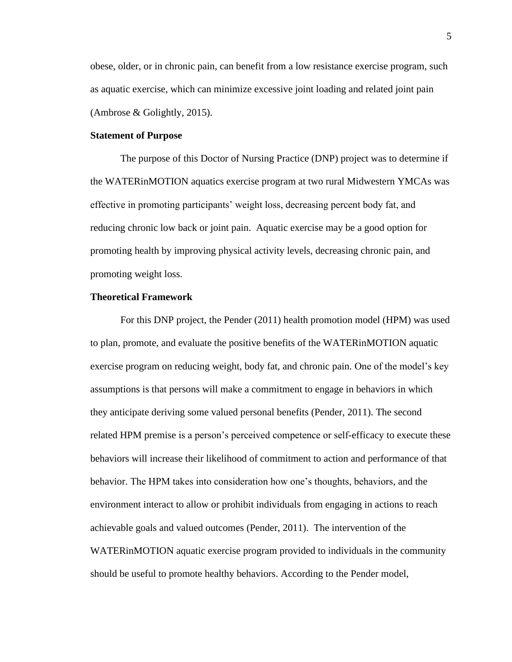obese, older, or in chronic pain, can benefit from a low resistance exercise program, such as aquatic exercise, which can minimize excessive joint loading and related joint pain (Ambrose & Golightly, 2015).

#### **Statement of Purpose**

The purpose of this Doctor of Nursing Practice (DNP) project was to determine if the WATERinMOTION aquatics exercise program at two rural Midwestern YMCAs was effective in promoting participants' weight loss, decreasing percent body fat, and reducing chronic low back or joint pain. Aquatic exercise may be a good option for promoting health by improving physical activity levels, decreasing chronic pain, and promoting weight loss.

#### **Theoretical Framework**

For this DNP project, the Pender (2011) health promotion model (HPM) was used to plan, promote, and evaluate the positive benefits of the WATERinMOTION aquatic exercise program on reducing weight, body fat, and chronic pain. One of the model's key assumptions is that persons will make a commitment to engage in behaviors in which they anticipate deriving some valued personal benefits (Pender, 2011). The second related HPM premise is a person's perceived competence or self-efficacy to execute these behaviors will increase their likelihood of commitment to action and performance of that behavior. The HPM takes into consideration how one's thoughts, behaviors, and the environment interact to allow or prohibit individuals from engaging in actions to reach achievable goals and valued outcomes (Pender, 2011). The intervention of the WATERinMOTION aquatic exercise program provided to individuals in the community should be useful to promote healthy behaviors. According to the Pender model,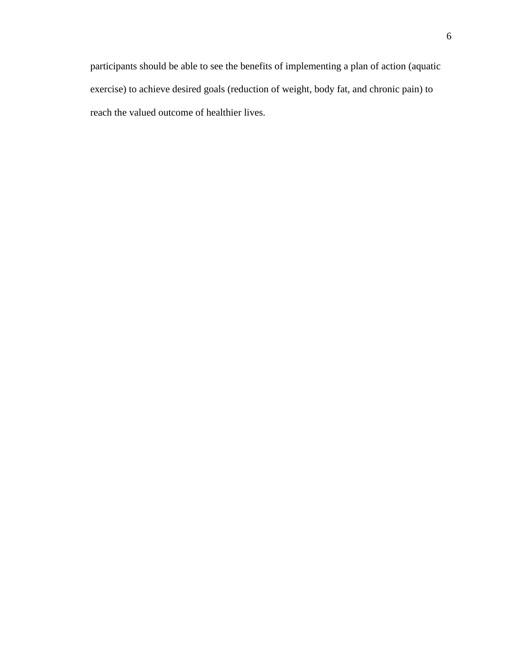participants should be able to see the benefits of implementing a plan of action (aquatic exercise) to achieve desired goals (reduction of weight, body fat, and chronic pain) to reach the valued outcome of healthier lives.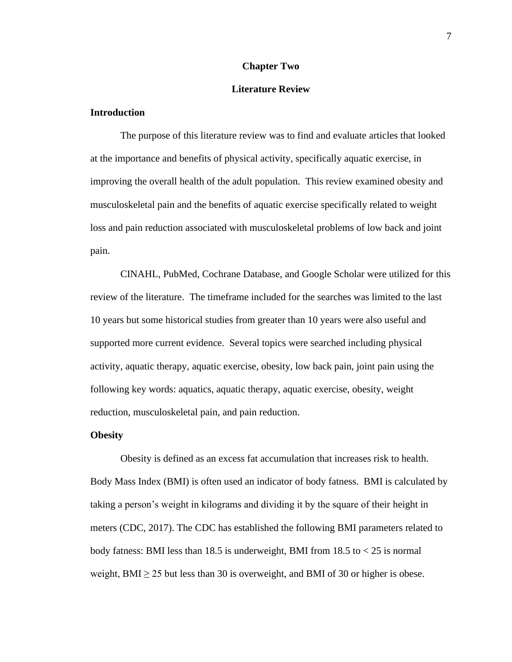#### **Chapter Two**

#### **Literature Review**

#### <span id="page-18-0"></span>**Introduction**

The purpose of this literature review was to find and evaluate articles that looked at the importance and benefits of physical activity, specifically aquatic exercise, in improving the overall health of the adult population. This review examined obesity and musculoskeletal pain and the benefits of aquatic exercise specifically related to weight loss and pain reduction associated with musculoskeletal problems of low back and joint pain.

CINAHL, PubMed, Cochrane Database, and Google Scholar were utilized for this review of the literature. The timeframe included for the searches was limited to the last 10 years but some historical studies from greater than 10 years were also useful and supported more current evidence. Several topics were searched including physical activity, aquatic therapy, aquatic exercise, obesity, low back pain, joint pain using the following key words: aquatics, aquatic therapy, aquatic exercise, obesity, weight reduction, musculoskeletal pain, and pain reduction.

#### **Obesity**

Obesity is defined as an excess fat accumulation that increases risk to health. Body Mass Index (BMI) is often used an indicator of body fatness. BMI is calculated by taking a person's weight in kilograms and dividing it by the square of their height in meters (CDC, 2017). The CDC has established the following BMI parameters related to body fatness: BMI less than 18.5 is underweight, BMI from 18.5 to  $<$  25 is normal weight, BMI  $\geq$  25 but less than 30 is overweight, and BMI of 30 or higher is obese.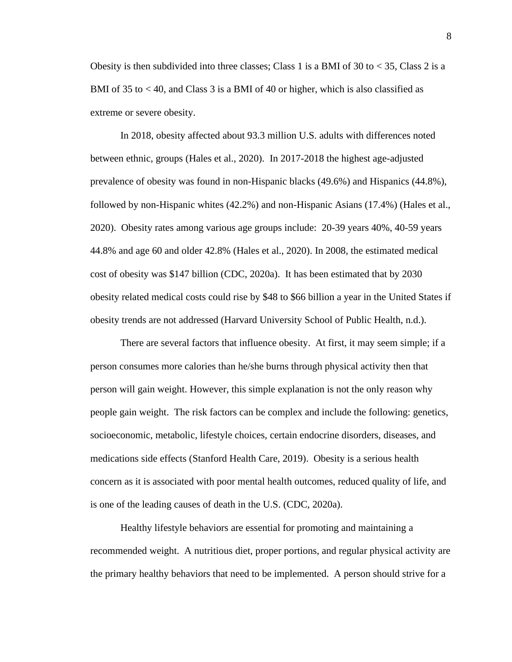Obesity is then subdivided into three classes; Class 1 is a BMI of 30 to  $\lt$  35, Class 2 is a BMI of 35 to < 40, and Class 3 is a BMI of 40 or higher, which is also classified as extreme or severe obesity.

In 2018, obesity affected about 93.3 million U.S. adults with differences noted between ethnic, groups (Hales et al., 2020). In 2017-2018 the highest age-adjusted prevalence of obesity was found in non-Hispanic blacks (49.6%) and Hispanics (44.8%), followed by non-Hispanic whites (42.2%) and non-Hispanic Asians (17.4%) (Hales et al., 2020). Obesity rates among various age groups include: 20-39 years 40%, 40-59 years 44.8% and age 60 and older 42.8% (Hales et al., 2020). In 2008, the estimated medical cost of obesity was \$147 billion (CDC, 2020a). It has been estimated that by 2030 obesity related medical costs could rise by \$48 to \$66 billion a year in the United States if obesity trends are not addressed (Harvard University School of Public Health, n.d.).

There are several factors that influence obesity. At first, it may seem simple; if a person consumes more calories than he/she burns through physical activity then that person will gain weight. However, this simple explanation is not the only reason why people gain weight. The risk factors can be complex and include the following: genetics, socioeconomic, metabolic, lifestyle choices, certain endocrine disorders, diseases, and medications side effects (Stanford Health Care, 2019). Obesity is a serious health concern as it is associated with poor mental health outcomes, reduced quality of life, and is one of the leading causes of death in the U.S. (CDC, 2020a).

Healthy lifestyle behaviors are essential for promoting and maintaining a recommended weight. A nutritious diet, proper portions, and regular physical activity are the primary healthy behaviors that need to be implemented. A person should strive for a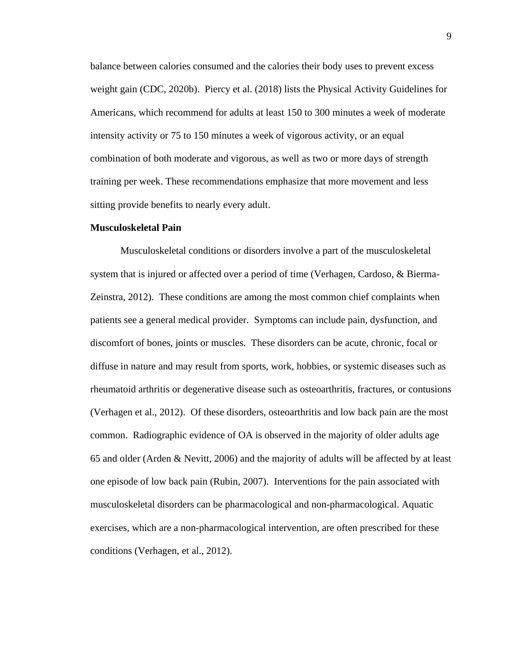balance between calories consumed and the calories their body uses to prevent excess weight gain (CDC, 2020b). Piercy et al. (2018) lists the Physical Activity Guidelines for Americans, which recommend for adults at least 150 to 300 minutes a week of moderate intensity activity or 75 to 150 minutes a week of vigorous activity, or an equal combination of both moderate and vigorous, as well as two or more days of strength training per week. These recommendations emphasize that more movement and less sitting provide benefits to nearly every adult.

#### **Musculoskeletal Pain**

Musculoskeletal conditions or disorders involve a part of the musculoskeletal system that is injured or affected over a period of time (Verhagen, Cardoso, & Bierma-Zeinstra, 2012). These conditions are among the most common chief complaints when patients see a general medical provider. Symptoms can include pain, dysfunction, and discomfort of bones, joints or muscles. These disorders can be acute, chronic, focal or diffuse in nature and may result from sports, work, hobbies, or systemic diseases such as rheumatoid arthritis or degenerative disease such as osteoarthritis, fractures, or contusions (Verhagen et al., 2012). Of these disorders, osteoarthritis and low back pain are the most common. Radiographic evidence of OA is observed in the majority of older adults age 65 and older (Arden & Nevitt, 2006) and the majority of adults will be affected by at least one episode of low back pain (Rubin, 2007). Interventions for the pain associated with musculoskeletal disorders can be pharmacological and non-pharmacological. Aquatic exercises, which are a non-pharmacological intervention, are often prescribed for these conditions (Verhagen, et al., 2012).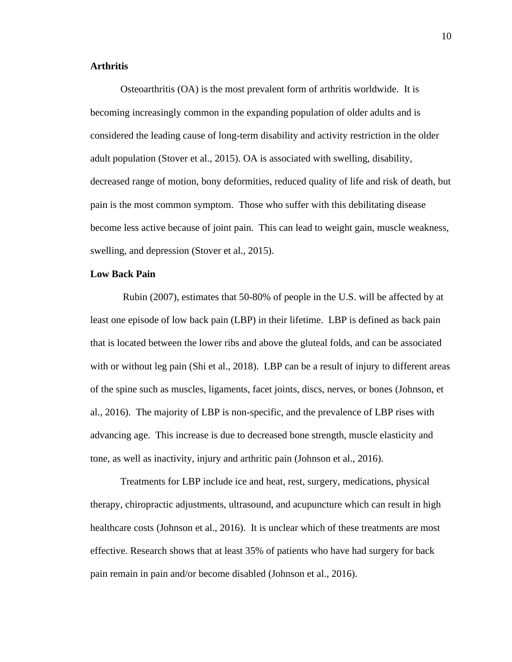#### **Arthritis**

Osteoarthritis (OA) is the most prevalent form of arthritis worldwide. It is becoming increasingly common in the expanding population of older adults and is considered the leading cause of long-term disability and activity restriction in the older adult population (Stover et al., 2015). OA is associated with swelling, disability, decreased range of motion, bony deformities, reduced quality of life and risk of death, but pain is the most common symptom. Those who suffer with this debilitating disease become less active because of joint pain. This can lead to weight gain, muscle weakness, swelling, and depression (Stover et al., 2015).

#### **Low Back Pain**

Rubin (2007), estimates that 50-80% of people in the U.S. will be affected by at least one episode of low back pain (LBP) in their lifetime. LBP is defined as back pain that is located between the lower ribs and above the gluteal folds, and can be associated with or without leg pain (Shi et al., 2018). LBP can be a result of injury to different areas of the spine such as muscles, ligaments, facet joints, discs, nerves, or bones (Johnson, et al., 2016). The majority of LBP is non-specific, and the prevalence of LBP rises with advancing age. This increase is due to decreased bone strength, muscle elasticity and tone, as well as inactivity, injury and arthritic pain (Johnson et al., 2016).

Treatments for LBP include ice and heat, rest, surgery, medications, physical therapy, chiropractic adjustments, ultrasound, and acupuncture which can result in high healthcare costs (Johnson et al., 2016). It is unclear which of these treatments are most effective. Research shows that at least 35% of patients who have had surgery for back pain remain in pain and/or become disabled (Johnson et al., 2016).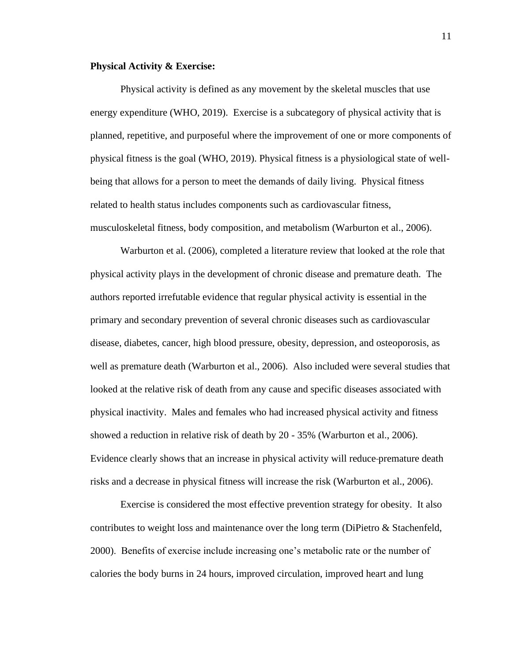#### **Physical Activity & Exercise:**

Physical activity is defined as any movement by the skeletal muscles that use energy expenditure (WHO, 2019). Exercise is a subcategory of physical activity that is planned, repetitive, and purposeful where the improvement of one or more components of physical fitness is the goal (WHO, 2019). Physical fitness is a physiological state of wellbeing that allows for a person to meet the demands of daily living. Physical fitness related to health status includes components such as cardiovascular fitness, musculoskeletal fitness, body composition, and metabolism (Warburton et al., 2006).

Warburton et al. (2006), completed a literature review that looked at the role that physical activity plays in the development of chronic disease and premature death. The authors reported irrefutable evidence that regular physical activity is essential in the primary and secondary prevention of several chronic diseases such as cardiovascular disease, diabetes, cancer, high blood pressure, obesity, depression, and osteoporosis, as well as premature death (Warburton et al., 2006). Also included were several studies that looked at the relative risk of death from any cause and specific diseases associated with physical inactivity. Males and females who had increased physical activity and fitness showed a reduction in relative risk of death by 20 - 35% (Warburton et al., 2006). Evidence clearly shows that an increase in physical activity will reduce premature death risks and a decrease in physical fitness will increase the risk (Warburton et al., 2006).

Exercise is considered the most effective prevention strategy for obesity. It also contributes to weight loss and maintenance over the long term (DiPietro & Stachenfeld, 2000). Benefits of exercise include increasing one's metabolic rate or the number of calories the body burns in 24 hours, improved circulation, improved heart and lung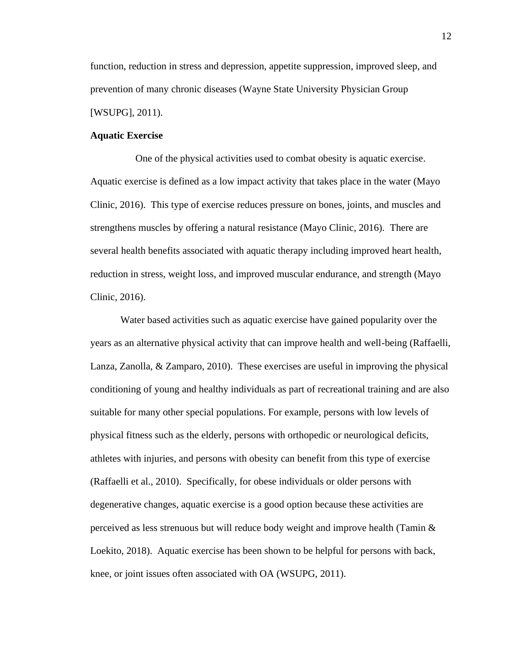function, reduction in stress and depression, appetite suppression, improved sleep, and prevention of many chronic diseases (Wayne State University Physician Group [WSUPG], 2011).

#### **Aquatic Exercise**

 One of the physical activities used to combat obesity is aquatic exercise. Aquatic exercise is defined as a low impact activity that takes place in the water (Mayo Clinic, 2016). This type of exercise reduces pressure on bones, joints, and muscles and strengthens muscles by offering a natural resistance (Mayo Clinic, 2016). There are several health benefits associated with aquatic therapy including improved heart health, reduction in stress, weight loss, and improved muscular endurance, and strength (Mayo Clinic, 2016).

Water based activities such as aquatic exercise have gained popularity over the years as an alternative physical activity that can improve health and well-being (Raffaelli, Lanza, Zanolla, & Zamparo, 2010). These exercises are useful in improving the physical conditioning of young and healthy individuals as part of recreational training and are also suitable for many other special populations. For example, persons with low levels of physical fitness such as the elderly, persons with orthopedic or neurological deficits, athletes with injuries, and persons with obesity can benefit from this type of exercise (Raffaelli et al., 2010). Specifically, for obese individuals or older persons with degenerative changes, aquatic exercise is a good option because these activities are perceived as less strenuous but will reduce body weight and improve health (Tamin & Loekito, 2018). Aquatic exercise has been shown to be helpful for persons with back, knee, or joint issues often associated with OA (WSUPG, 2011).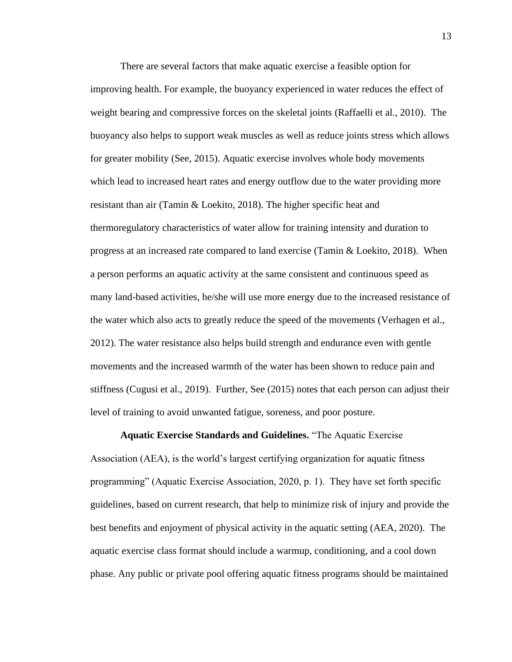There are several factors that make aquatic exercise a feasible option for improving health. For example, the buoyancy experienced in water reduces the effect of weight bearing and compressive forces on the skeletal joints (Raffaelli et al., 2010). The buoyancy also helps to support weak muscles as well as reduce joints stress which allows for greater mobility (See, 2015). Aquatic exercise involves whole body movements which lead to increased heart rates and energy outflow due to the water providing more resistant than air (Tamin & Loekito, 2018). The higher specific heat and thermoregulatory characteristics of water allow for training intensity and duration to progress at an increased rate compared to land exercise (Tamin & Loekito, 2018). When a person performs an aquatic activity at the same consistent and continuous speed as many land-based activities, he/she will use more energy due to the increased resistance of the water which also acts to greatly reduce the speed of the movements (Verhagen et al., 2012). The water resistance also helps build strength and endurance even with gentle movements and the increased warmth of the water has been shown to reduce pain and stiffness (Cugusi et al., 2019). Further, See (2015) notes that each person can adjust their level of training to avoid unwanted fatigue, soreness, and poor posture.

**Aquatic Exercise Standards and Guidelines.** "The Aquatic Exercise Association (AEA), is the world's largest certifying organization for aquatic fitness programming" (Aquatic Exercise Association, 2020, p. 1). They have set forth specific guidelines, based on current research, that help to minimize risk of injury and provide the best benefits and enjoyment of physical activity in the aquatic setting (AEA, 2020). The aquatic exercise class format should include a warmup, conditioning, and a cool down phase. Any public or private pool offering aquatic fitness programs should be maintained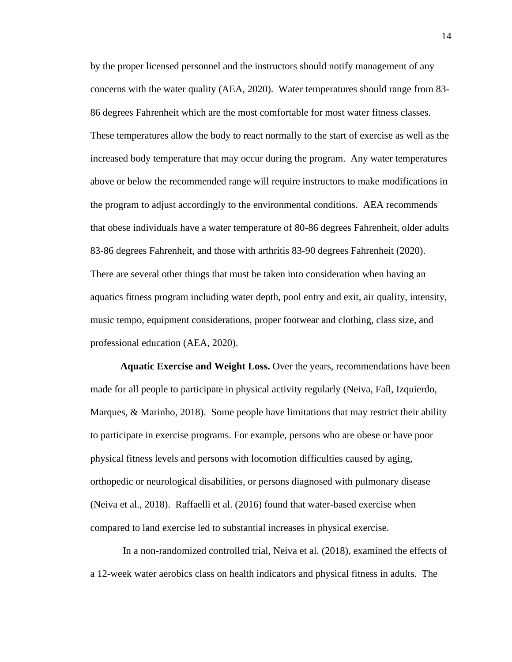by the proper licensed personnel and the instructors should notify management of any concerns with the water quality (AEA, 2020). Water temperatures should range from 83- 86 degrees Fahrenheit which are the most comfortable for most water fitness classes. These temperatures allow the body to react normally to the start of exercise as well as the increased body temperature that may occur during the program. Any water temperatures above or below the recommended range will require instructors to make modifications in the program to adjust accordingly to the environmental conditions. AEA recommends that obese individuals have a water temperature of 80-86 degrees Fahrenheit, older adults 83-86 degrees Fahrenheit, and those with arthritis 83-90 degrees Fahrenheit (2020). There are several other things that must be taken into consideration when having an aquatics fitness program including water depth, pool entry and exit, air quality, intensity, music tempo, equipment considerations, proper footwear and clothing, class size, and professional education (AEA, 2020).

**Aquatic Exercise and Weight Loss.** Over the years, recommendations have been made for all people to participate in physical activity regularly (Neiva, Faíl, Izquierdo, Marques, & Marinho, 2018). Some people have limitations that may restrict their ability to participate in exercise programs. For example, persons who are obese or have poor physical fitness levels and persons with locomotion difficulties caused by aging, orthopedic or neurological disabilities, or persons diagnosed with pulmonary disease (Neiva et al., 2018). Raffaelli et al. (2016) found that water-based exercise when compared to land exercise led to substantial increases in physical exercise.

In a non-randomized controlled trial, Neiva et al. (2018), examined the effects of a 12-week water aerobics class on health indicators and physical fitness in adults. The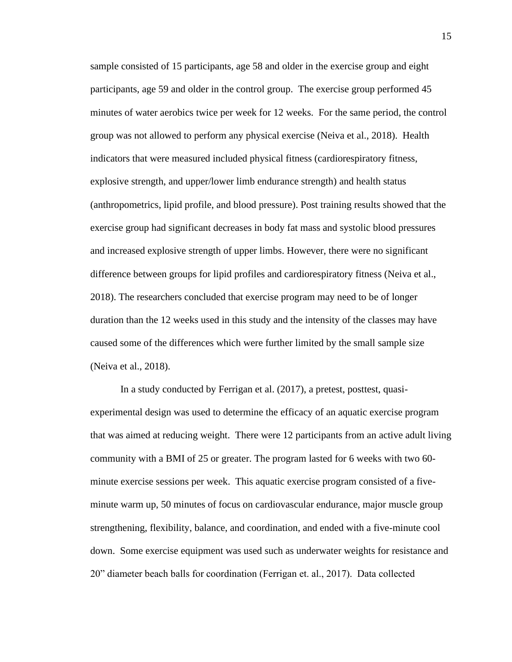sample consisted of 15 participants, age 58 and older in the exercise group and eight participants, age 59 and older in the control group. The exercise group performed 45 minutes of water aerobics twice per week for 12 weeks. For the same period, the control group was not allowed to perform any physical exercise (Neiva et al., 2018). Health indicators that were measured included physical fitness (cardiorespiratory fitness, explosive strength, and upper/lower limb endurance strength) and health status (anthropometrics, lipid profile, and blood pressure). Post training results showed that the exercise group had significant decreases in body fat mass and systolic blood pressures and increased explosive strength of upper limbs. However, there were no significant difference between groups for lipid profiles and cardiorespiratory fitness (Neiva et al., 2018). The researchers concluded that exercise program may need to be of longer duration than the 12 weeks used in this study and the intensity of the classes may have caused some of the differences which were further limited by the small sample size (Neiva et al., 2018).

In a study conducted by Ferrigan et al. (2017), a pretest, posttest, quasiexperimental design was used to determine the efficacy of an aquatic exercise program that was aimed at reducing weight. There were 12 participants from an active adult living community with a BMI of 25 or greater. The program lasted for 6 weeks with two 60 minute exercise sessions per week. This aquatic exercise program consisted of a fiveminute warm up, 50 minutes of focus on cardiovascular endurance, major muscle group strengthening, flexibility, balance, and coordination, and ended with a five-minute cool down. Some exercise equipment was used such as underwater weights for resistance and 20" diameter beach balls for coordination (Ferrigan et. al., 2017). Data collected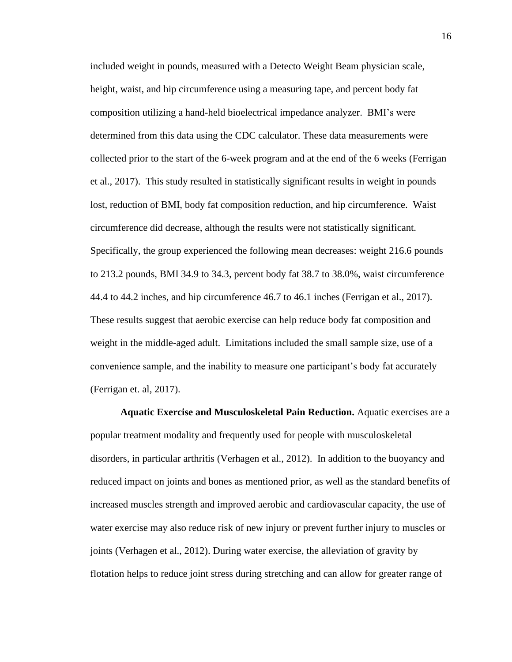included weight in pounds, measured with a Detecto Weight Beam physician scale, height, waist, and hip circumference using a measuring tape, and percent body fat composition utilizing a hand-held bioelectrical impedance analyzer. BMI's were determined from this data using the CDC calculator. These data measurements were collected prior to the start of the 6-week program and at the end of the 6 weeks (Ferrigan et al., 2017). This study resulted in statistically significant results in weight in pounds lost, reduction of BMI, body fat composition reduction, and hip circumference. Waist circumference did decrease, although the results were not statistically significant. Specifically, the group experienced the following mean decreases: weight 216.6 pounds to 213.2 pounds, BMI 34.9 to 34.3, percent body fat 38.7 to 38.0%, waist circumference 44.4 to 44.2 inches, and hip circumference 46.7 to 46.1 inches (Ferrigan et al., 2017). These results suggest that aerobic exercise can help reduce body fat composition and weight in the middle-aged adult. Limitations included the small sample size, use of a convenience sample, and the inability to measure one participant's body fat accurately (Ferrigan et. al, 2017).

**Aquatic Exercise and Musculoskeletal Pain Reduction.** Aquatic exercises are a popular treatment modality and frequently used for people with musculoskeletal disorders, in particular arthritis (Verhagen et al., 2012). In addition to the buoyancy and reduced impact on joints and bones as mentioned prior, as well as the standard benefits of increased muscles strength and improved aerobic and cardiovascular capacity, the use of water exercise may also reduce risk of new injury or prevent further injury to muscles or joints (Verhagen et al., 2012). During water exercise, the alleviation of gravity by flotation helps to reduce joint stress during stretching and can allow for greater range of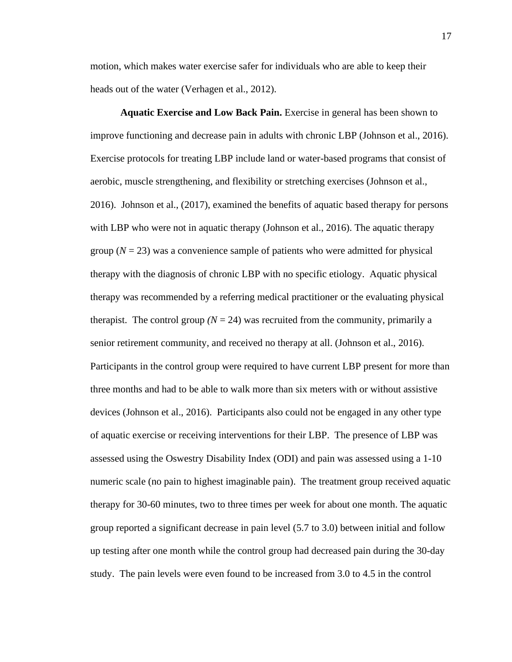motion, which makes water exercise safer for individuals who are able to keep their heads out of the water (Verhagen et al., 2012).

**Aquatic Exercise and Low Back Pain.** Exercise in general has been shown to improve functioning and decrease pain in adults with chronic LBP (Johnson et al., 2016). Exercise protocols for treating LBP include land or water-based programs that consist of aerobic, muscle strengthening, and flexibility or stretching exercises (Johnson et al., 2016). Johnson et al., (2017), examined the benefits of aquatic based therapy for persons with LBP who were not in aquatic therapy (Johnson et al., 2016). The aquatic therapy group  $(N = 23)$  was a convenience sample of patients who were admitted for physical therapy with the diagnosis of chronic LBP with no specific etiology. Aquatic physical therapy was recommended by a referring medical practitioner or the evaluating physical therapist. The control group  $(N = 24)$  was recruited from the community, primarily a senior retirement community, and received no therapy at all. (Johnson et al., 2016). Participants in the control group were required to have current LBP present for more than three months and had to be able to walk more than six meters with or without assistive devices (Johnson et al., 2016). Participants also could not be engaged in any other type of aquatic exercise or receiving interventions for their LBP. The presence of LBP was assessed using the Oswestry Disability Index (ODI) and pain was assessed using a 1-10 numeric scale (no pain to highest imaginable pain). The treatment group received aquatic therapy for 30-60 minutes, two to three times per week for about one month. The aquatic group reported a significant decrease in pain level (5.7 to 3.0) between initial and follow up testing after one month while the control group had decreased pain during the 30-day study. The pain levels were even found to be increased from 3.0 to 4.5 in the control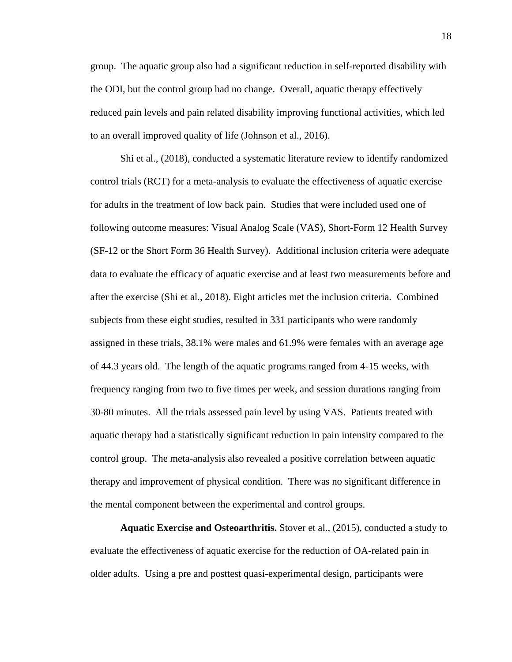group. The aquatic group also had a significant reduction in self-reported disability with the ODI, but the control group had no change. Overall, aquatic therapy effectively reduced pain levels and pain related disability improving functional activities, which led to an overall improved quality of life (Johnson et al., 2016).

Shi et al., (2018), conducted a systematic literature review to identify randomized control trials (RCT) for a meta-analysis to evaluate the effectiveness of aquatic exercise for adults in the treatment of low back pain. Studies that were included used one of following outcome measures: Visual Analog Scale (VAS), Short-Form 12 Health Survey (SF-12 or the Short Form 36 Health Survey). Additional inclusion criteria were adequate data to evaluate the efficacy of aquatic exercise and at least two measurements before and after the exercise (Shi et al., 2018). Eight articles met the inclusion criteria. Combined subjects from these eight studies, resulted in 331 participants who were randomly assigned in these trials, 38.1% were males and 61.9% were females with an average age of 44.3 years old. The length of the aquatic programs ranged from 4-15 weeks, with frequency ranging from two to five times per week, and session durations ranging from 30-80 minutes. All the trials assessed pain level by using VAS. Patients treated with aquatic therapy had a statistically significant reduction in pain intensity compared to the control group. The meta-analysis also revealed a positive correlation between aquatic therapy and improvement of physical condition. There was no significant difference in the mental component between the experimental and control groups.

**Aquatic Exercise and Osteoarthritis.** Stover et al., (2015), conducted a study to evaluate the effectiveness of aquatic exercise for the reduction of OA-related pain in older adults. Using a pre and posttest quasi-experimental design, participants were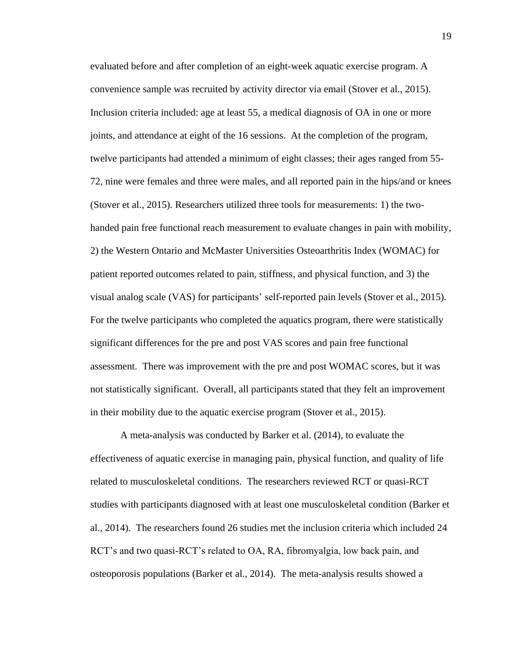evaluated before and after completion of an eight-week aquatic exercise program. A convenience sample was recruited by activity director via email (Stover et al., 2015). Inclusion criteria included: age at least 55, a medical diagnosis of OA in one or more joints, and attendance at eight of the 16 sessions. At the completion of the program, twelve participants had attended a minimum of eight classes; their ages ranged from 55- 72, nine were females and three were males, and all reported pain in the hips/and or knees (Stover et al., 2015). Researchers utilized three tools for measurements: 1) the twohanded pain free functional reach measurement to evaluate changes in pain with mobility, 2) the Western Ontario and McMaster Universities Osteoarthritis Index (WOMAC) for patient reported outcomes related to pain, stiffness, and physical function, and 3) the visual analog scale (VAS) for participants' self-reported pain levels (Stover et al., 2015). For the twelve participants who completed the aquatics program, there were statistically significant differences for the pre and post VAS scores and pain free functional assessment. There was improvement with the pre and post WOMAC scores, but it was not statistically significant. Overall, all participants stated that they felt an improvement in their mobility due to the aquatic exercise program (Stover et al., 2015).

A meta-analysis was conducted by Barker et al. (2014), to evaluate the effectiveness of aquatic exercise in managing pain, physical function, and quality of life related to musculoskeletal conditions. The researchers reviewed RCT or quasi-RCT studies with participants diagnosed with at least one musculoskeletal condition (Barker et al., 2014). The researchers found 26 studies met the inclusion criteria which included 24 RCT's and two quasi-RCT's related to OA, RA, fibromyalgia, low back pain, and osteoporosis populations (Barker et al., 2014). The meta-analysis results showed a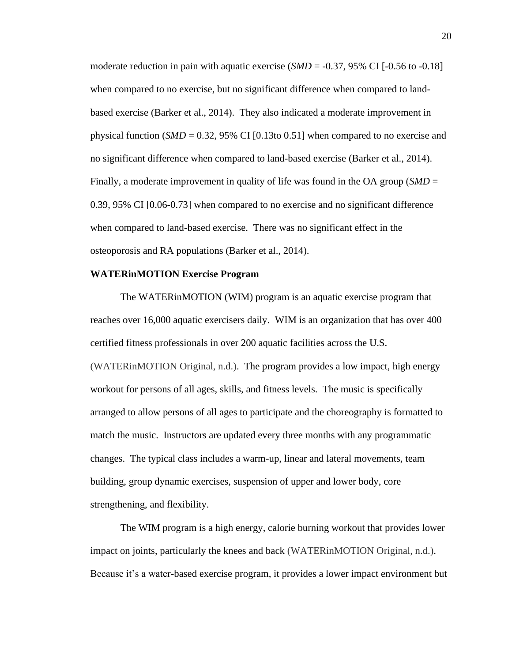moderate reduction in pain with aquatic exercise (*SMD* = -0.37, 95% CI [-0.56 to -0.18] when compared to no exercise, but no significant difference when compared to landbased exercise (Barker et al., 2014). They also indicated a moderate improvement in physical function ( $SMD = 0.32$ , 95% CI [0.13to 0.51] when compared to no exercise and no significant difference when compared to land-based exercise (Barker et al., 2014). Finally, a moderate improvement in quality of life was found in the OA group (*SMD* = 0.39, 95% CI [0.06-0.73] when compared to no exercise and no significant difference when compared to land-based exercise. There was no significant effect in the osteoporosis and RA populations (Barker et al., 2014).

#### **WATERinMOTION Exercise Program**

The WATERinMOTION (WIM) program is an aquatic exercise program that reaches over 16,000 aquatic exercisers daily. WIM is an organization that has over 400 certified fitness professionals in over 200 aquatic facilities across the U.S. (WATERinMOTION Original, n.d.). The program provides a low impact, high energy workout for persons of all ages, skills, and fitness levels. The music is specifically arranged to allow persons of all ages to participate and the choreography is formatted to match the music. Instructors are updated every three months with any programmatic changes. The typical class includes a warm-up, linear and lateral movements, team building, group dynamic exercises, suspension of upper and lower body, core strengthening, and flexibility.

The WIM program is a high energy, calorie burning workout that provides lower impact on joints, particularly the knees and back (WATERinMOTION Original, n.d.). Because it's a water-based exercise program, it provides a lower impact environment but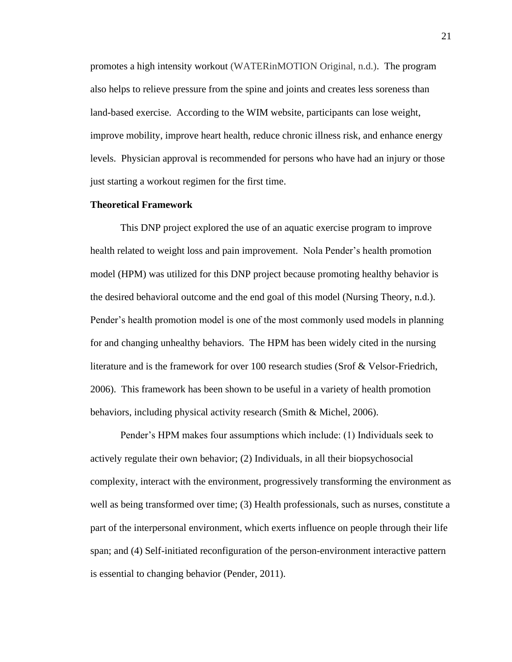promotes a high intensity workout (WATERinMOTION Original, n.d.). The program also helps to relieve pressure from the spine and joints and creates less soreness than land-based exercise. According to the WIM website, participants can lose weight, improve mobility, improve heart health, reduce chronic illness risk, and enhance energy levels. Physician approval is recommended for persons who have had an injury or those just starting a workout regimen for the first time.

#### **Theoretical Framework**

This DNP project explored the use of an aquatic exercise program to improve health related to weight loss and pain improvement. Nola Pender's health promotion model (HPM) was utilized for this DNP project because promoting healthy behavior is the desired behavioral outcome and the end goal of this model (Nursing Theory, n.d.). Pender's health promotion model is one of the most commonly used models in planning for and changing unhealthy behaviors. The HPM has been widely cited in the nursing literature and is the framework for over 100 research studies (Srof & Velsor-Friedrich, 2006). This framework has been shown to be useful in a variety of health promotion behaviors, including physical activity research (Smith & Michel, 2006).

Pender's HPM makes four assumptions which include: (1) Individuals seek to actively regulate their own behavior; (2) Individuals, in all their biopsychosocial complexity, interact with the environment, progressively transforming the environment as well as being transformed over time; (3) Health professionals, such as nurses, constitute a part of the interpersonal environment, which exerts influence on people through their life span; and (4) Self-initiated reconfiguration of the person-environment interactive pattern is essential to changing behavior (Pender, 2011).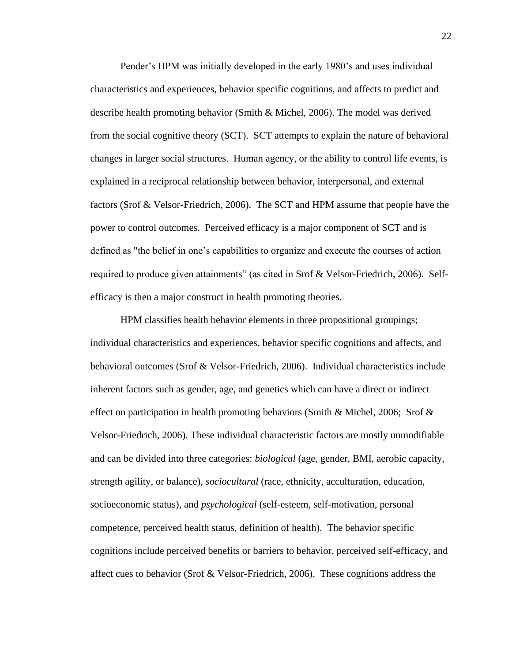Pender's HPM was initially developed in the early 1980's and uses individual characteristics and experiences, behavior specific cognitions, and affects to predict and describe health promoting behavior (Smith & Michel, 2006). The model was derived from the social cognitive theory (SCT). SCT attempts to explain the nature of behavioral changes in larger social structures. Human agency, or the ability to control life events, is explained in a reciprocal relationship between behavior, interpersonal, and external factors (Srof & Velsor-Friedrich, 2006). The SCT and HPM assume that people have the power to control outcomes. Perceived efficacy is a major component of SCT and is defined as "the belief in one's capabilities to organize and execute the courses of action required to produce given attainments" (as cited in Srof & Velsor-Friedrich, 2006). Selfefficacy is then a major construct in health promoting theories.

HPM classifies health behavior elements in three propositional groupings; individual characteristics and experiences, behavior specific cognitions and affects, and behavioral outcomes (Srof & Velsor-Friedrich, 2006). Individual characteristics include inherent factors such as gender, age, and genetics which can have a direct or indirect effect on participation in health promoting behaviors (Smith & Michel, 2006; Srof  $\&$ Velsor-Friedrich, 2006). These individual characteristic factors are mostly unmodifiable and can be divided into three categories: *biological* (age, gender, BMI, aerobic capacity, strength agility, or balance), *sociocultural* (race, ethnicity, acculturation, education, socioeconomic status), and *psychological* (self-esteem, self-motivation, personal competence, perceived health status, definition of health). The behavior specific cognitions include perceived benefits or barriers to behavior, perceived self-efficacy, and affect cues to behavior (Srof & Velsor-Friedrich, 2006). These cognitions address the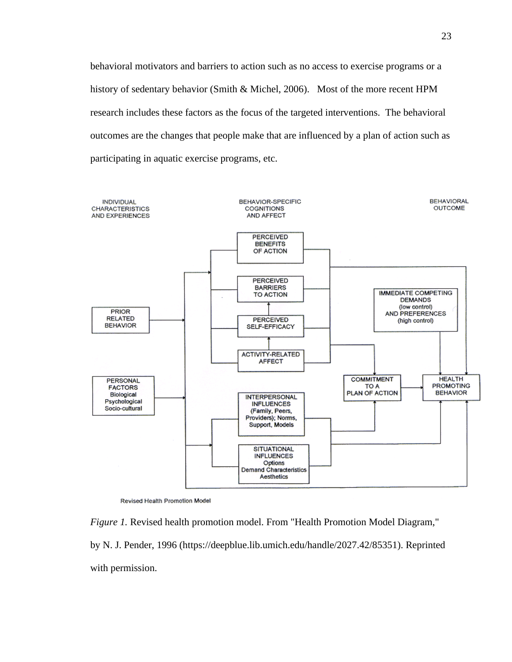behavioral motivators and barriers to action such as no access to exercise programs or a history of sedentary behavior (Smith & Michel, 2006). Most of the more recent HPM research includes these factors as the focus of the targeted interventions. The behavioral outcomes are the changes that people make that are influenced by a plan of action such as participating in aquatic exercise programs, etc.



Revised Health Promotion Model

*Figure 1.* Revised health promotion model. From "Health Promotion Model Diagram," by N. J. Pender, 1996 [\(https://deepblue.lib.umich.edu/handle/2027.42/85351\)](https://deepblue.lib.umich.edu/handle/2027.42/85351). Reprinted with permission.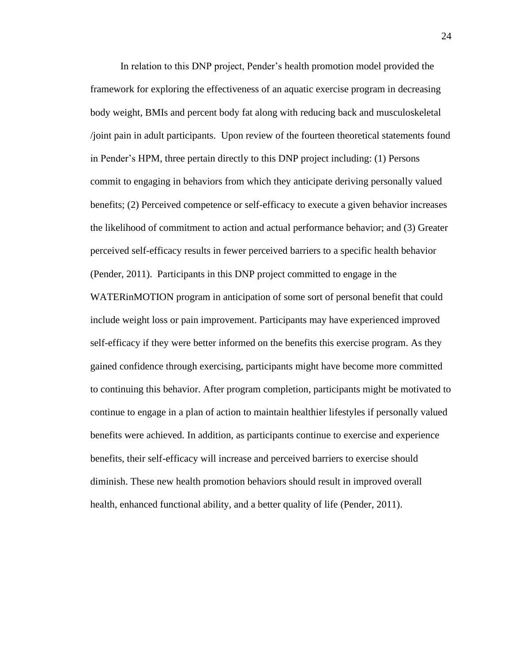In relation to this DNP project, Pender's health promotion model provided the framework for exploring the effectiveness of an aquatic exercise program in decreasing body weight, BMIs and percent body fat along with reducing back and musculoskeletal /joint pain in adult participants. Upon review of the fourteen theoretical statements found in Pender's HPM, three pertain directly to this DNP project including: (1) Persons commit to engaging in behaviors from which they anticipate deriving personally valued benefits; (2) Perceived competence or self-efficacy to execute a given behavior increases the likelihood of commitment to action and actual performance behavior; and (3) Greater perceived self-efficacy results in fewer perceived barriers to a specific health behavior (Pender, 2011). Participants in this DNP project committed to engage in the WATERinMOTION program in anticipation of some sort of personal benefit that could include weight loss or pain improvement. Participants may have experienced improved self-efficacy if they were better informed on the benefits this exercise program. As they gained confidence through exercising, participants might have become more committed to continuing this behavior. After program completion, participants might be motivated to continue to engage in a plan of action to maintain healthier lifestyles if personally valued benefits were achieved. In addition, as participants continue to exercise and experience benefits, their self-efficacy will increase and perceived barriers to exercise should diminish. These new health promotion behaviors should result in improved overall health, enhanced functional ability, and a better quality of life (Pender, 2011).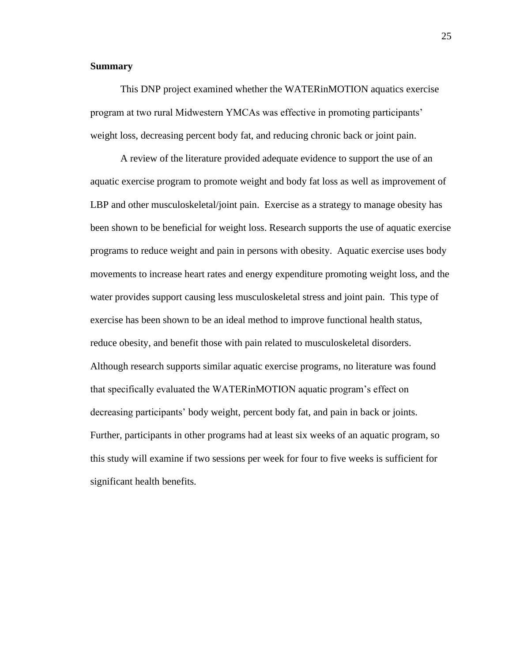### **Summary**

This DNP project examined whether the WATERinMOTION aquatics exercise program at two rural Midwestern YMCAs was effective in promoting participants' weight loss, decreasing percent body fat, and reducing chronic back or joint pain.

A review of the literature provided adequate evidence to support the use of an aquatic exercise program to promote weight and body fat loss as well as improvement of LBP and other musculoskeletal/joint pain. Exercise as a strategy to manage obesity has been shown to be beneficial for weight loss. Research supports the use of aquatic exercise programs to reduce weight and pain in persons with obesity. Aquatic exercise uses body movements to increase heart rates and energy expenditure promoting weight loss, and the water provides support causing less musculoskeletal stress and joint pain. This type of exercise has been shown to be an ideal method to improve functional health status, reduce obesity, and benefit those with pain related to musculoskeletal disorders. Although research supports similar aquatic exercise programs, no literature was found that specifically evaluated the WATERinMOTION aquatic program's effect on decreasing participants' body weight, percent body fat, and pain in back or joints. Further, participants in other programs had at least six weeks of an aquatic program, so this study will examine if two sessions per week for four to five weeks is sufficient for significant health benefits.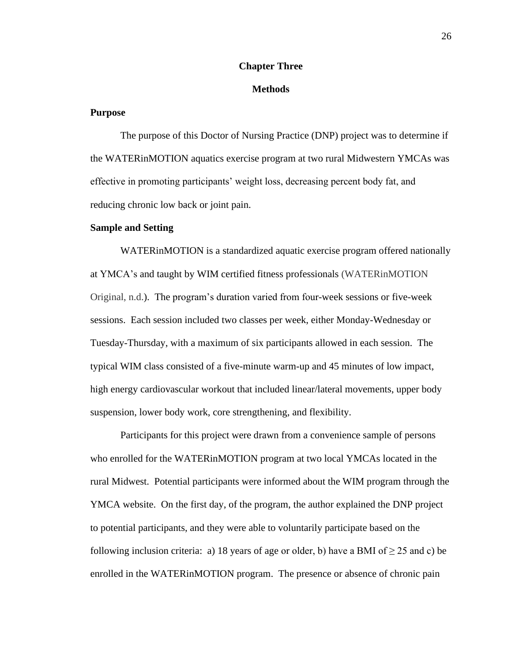### **Chapter Three**

### **Methods**

### **Purpose**

The purpose of this Doctor of Nursing Practice (DNP) project was to determine if the WATERinMOTION aquatics exercise program at two rural Midwestern YMCAs was effective in promoting participants' weight loss, decreasing percent body fat, and reducing chronic low back or joint pain.

#### **Sample and Setting**

WATERinMOTION is a standardized aquatic exercise program offered nationally at YMCA's and taught by WIM certified fitness professionals (WATERinMOTION Original, n.d.). The program's duration varied from four-week sessions or five-week sessions.Each session included two classes per week, either Monday-Wednesday or Tuesday-Thursday, with a maximum of six participants allowed in each session. The typical WIM class consisted of a five-minute warm-up and 45 minutes of low impact, high energy cardiovascular workout that included linear/lateral movements, upper body suspension, lower body work, core strengthening, and flexibility.

Participants for this project were drawn from a convenience sample of persons who enrolled for the WATERinMOTION program at two local YMCAs located in the rural Midwest. Potential participants were informed about the WIM program through the YMCA website. On the first day, of the program, the author explained the DNP project to potential participants, and they were able to voluntarily participate based on the following inclusion criteria: a) 18 years of age or older, b) have a BMI of  $\geq$  25 and c) be enrolled in the WATERinMOTION program. The presence or absence of chronic pain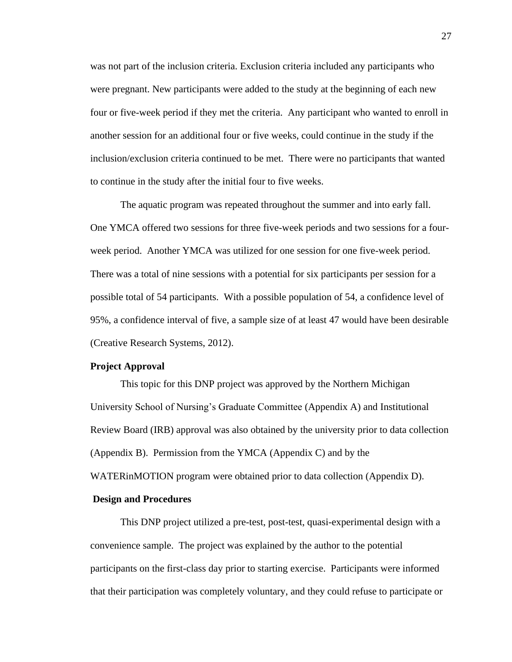was not part of the inclusion criteria. Exclusion criteria included any participants who were pregnant. New participants were added to the study at the beginning of each new four or five-week period if they met the criteria. Any participant who wanted to enroll in another session for an additional four or five weeks, could continue in the study if the inclusion/exclusion criteria continued to be met. There were no participants that wanted to continue in the study after the initial four to five weeks.

The aquatic program was repeated throughout the summer and into early fall. One YMCA offered two sessions for three five-week periods and two sessions for a fourweek period. Another YMCA was utilized for one session for one five-week period. There was a total of nine sessions with a potential for six participants per session for a possible total of 54 participants. With a possible population of 54, a confidence level of 95%, a confidence interval of five, a sample size of at least 47 would have been desirable (Creative Research Systems, 2012).

### **Project Approval**

This topic for this DNP project was approved by the Northern Michigan University School of Nursing's Graduate Committee (Appendix A) and Institutional Review Board (IRB) approval was also obtained by the university prior to data collection (Appendix B). Permission from the YMCA (Appendix C) and by the WATERinMOTION program were obtained prior to data collection (Appendix D).

### **Design and Procedures**

This DNP project utilized a pre-test, post-test, quasi-experimental design with a convenience sample. The project was explained by the author to the potential participants on the first-class day prior to starting exercise. Participants were informed that their participation was completely voluntary, and they could refuse to participate or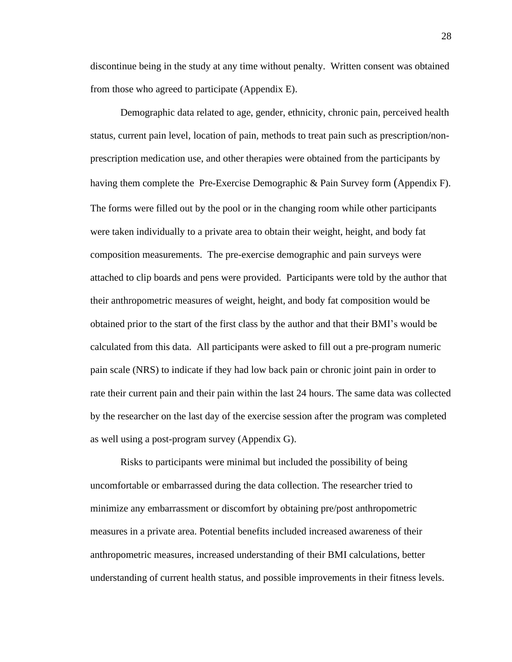discontinue being in the study at any time without penalty. Written consent was obtained from those who agreed to participate (Appendix E).

Demographic data related to age, gender, ethnicity, chronic pain, perceived health status, current pain level, location of pain, methods to treat pain such as prescription/nonprescription medication use, and other therapies were obtained from the participants by having them complete the Pre-Exercise Demographic & Pain Survey form (Appendix F). The forms were filled out by the pool or in the changing room while other participants were taken individually to a private area to obtain their weight, height, and body fat composition measurements. The pre-exercise demographic and pain surveys were attached to clip boards and pens were provided. Participants were told by the author that their anthropometric measures of weight, height, and body fat composition would be obtained prior to the start of the first class by the author and that their BMI's would be calculated from this data. All participants were asked to fill out a pre-program numeric pain scale (NRS) to indicate if they had low back pain or chronic joint pain in order to rate their current pain and their pain within the last 24 hours. The same data was collected by the researcher on the last day of the exercise session after the program was completed as well using a post-program survey (Appendix G).

Risks to participants were minimal but included the possibility of being uncomfortable or embarrassed during the data collection. The researcher tried to minimize any embarrassment or discomfort by obtaining pre/post anthropometric measures in a private area. Potential benefits included increased awareness of their anthropometric measures, increased understanding of their BMI calculations, better understanding of current health status, and possible improvements in their fitness levels.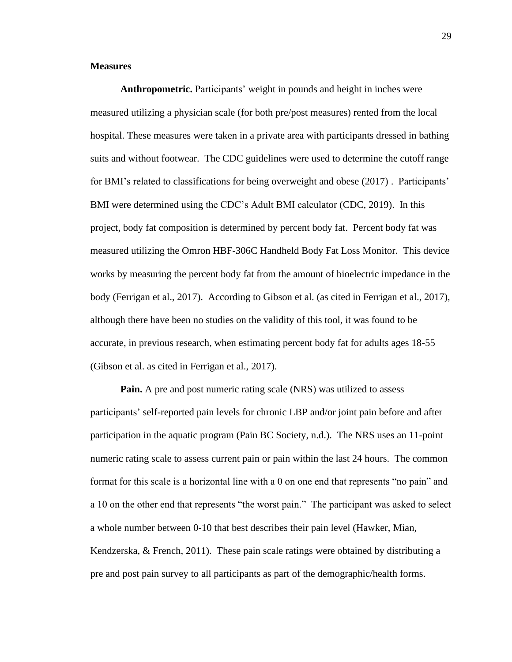### **Measures**

**Anthropometric.** Participants' weight in pounds and height in inches were measured utilizing a physician scale (for both pre/post measures) rented from the local hospital. These measures were taken in a private area with participants dressed in bathing suits and without footwear. The CDC guidelines were used to determine the cutoff range for BMI's related to classifications for being overweight and obese (2017) . Participants' BMI were determined using the CDC's Adult BMI calculator (CDC, 2019). In this project, body fat composition is determined by percent body fat. Percent body fat was measured utilizing the Omron HBF-306C Handheld Body Fat Loss Monitor. This device works by measuring the percent body fat from the amount of bioelectric impedance in the body (Ferrigan et al., 2017). According to Gibson et al. (as cited in Ferrigan et al., 2017), although there have been no studies on the validity of this tool, it was found to be accurate, in previous research, when estimating percent body fat for adults ages 18-55 (Gibson et al. as cited in Ferrigan et al., 2017).

**Pain.** A pre and post numeric rating scale (NRS) was utilized to assess participants' self-reported pain levels for chronic LBP and/or joint pain before and after participation in the aquatic program (Pain BC Society, n.d.). The NRS uses an 11-point numeric rating scale to assess current pain or pain within the last 24 hours. The common format for this scale is a horizontal line with a 0 on one end that represents "no pain" and a 10 on the other end that represents "the worst pain." The participant was asked to select a whole number between 0-10 that best describes their pain level (Hawker, Mian, Kendzerska, & French, 2011). These pain scale ratings were obtained by distributing a pre and post pain survey to all participants as part of the demographic/health forms.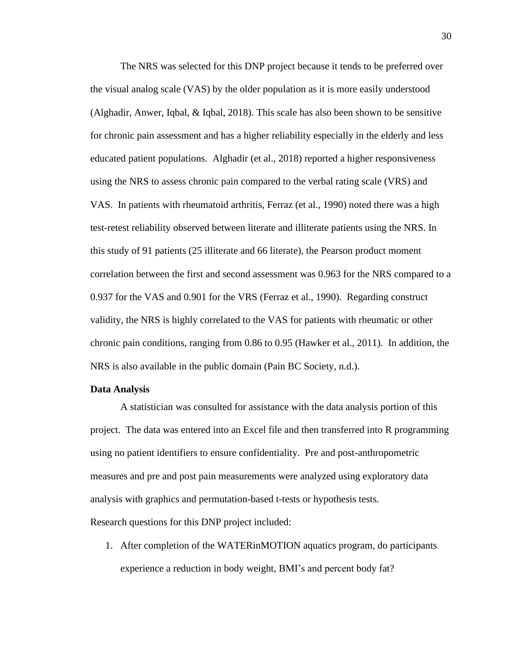The NRS was selected for this DNP project because it tends to be preferred over the visual analog scale (VAS) by the older population as it is more easily understood (Alghadir, Anwer, Iqbal, & Iqbal, 2018). This scale has also been shown to be sensitive for chronic pain assessment and has a higher reliability especially in the elderly and less educated patient populations. Alghadir (et al., 2018) reported a higher responsiveness using the NRS to assess chronic pain compared to the verbal rating scale (VRS) and VAS. In patients with rheumatoid arthritis, Ferraz (et al., 1990) noted there was a high test-retest reliability observed between literate and illiterate patients using the NRS. In this study of 91 patients (25 illiterate and 66 literate), the Pearson product moment correlation between the first and second assessment was 0.963 for the NRS compared to a 0.937 for the VAS and 0.901 for the VRS (Ferraz et al., 1990). Regarding construct validity, the NRS is highly correlated to the VAS for patients with rheumatic or other chronic pain conditions, ranging from 0.86 to 0.95 (Hawker et al., 2011). In addition, the NRS is also available in the public domain (Pain BC Society, n.d.).

### **Data Analysis**

A statistician was consulted for assistance with the data analysis portion of this project. The data was entered into an Excel file and then transferred into R programming using no patient identifiers to ensure confidentiality. Pre and post-anthropometric measures and pre and post pain measurements were analyzed using exploratory data analysis with graphics and permutation-based t-tests or hypothesis tests.

Research questions for this DNP project included:

1. After completion of the WATERinMOTION aquatics program, do participants experience a reduction in body weight, BMI's and percent body fat?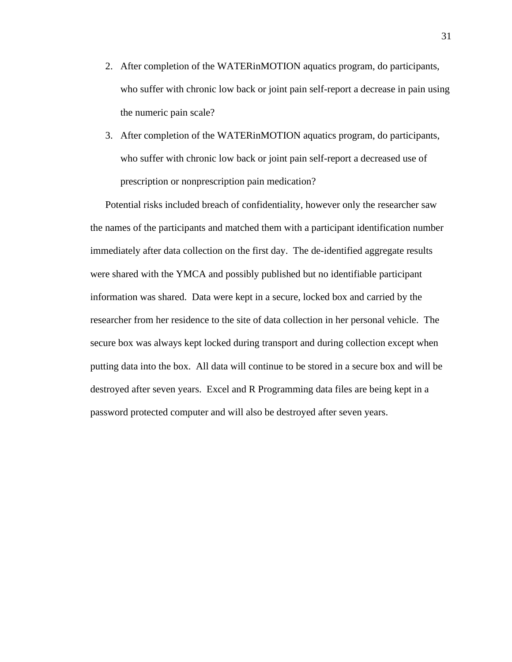- 2. After completion of the WATERinMOTION aquatics program, do participants, who suffer with chronic low back or joint pain self-report a decrease in pain using the numeric pain scale?
- 3. After completion of the WATERinMOTION aquatics program, do participants, who suffer with chronic low back or joint pain self-report a decreased use of prescription or nonprescription pain medication?

Potential risks included breach of confidentiality, however only the researcher saw the names of the participants and matched them with a participant identification number immediately after data collection on the first day. The de-identified aggregate results were shared with the YMCA and possibly published but no identifiable participant information was shared. Data were kept in a secure, locked box and carried by the researcher from her residence to the site of data collection in her personal vehicle. The secure box was always kept locked during transport and during collection except when putting data into the box. All data will continue to be stored in a secure box and will be destroyed after seven years. Excel and R Programming data files are being kept in a password protected computer and will also be destroyed after seven years.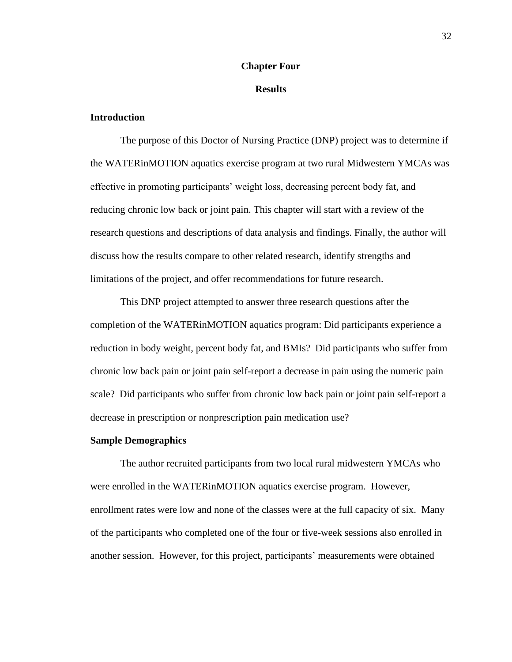### **Chapter Four**

### **Results**

### **Introduction**

The purpose of this Doctor of Nursing Practice (DNP) project was to determine if the WATERinMOTION aquatics exercise program at two rural Midwestern YMCAs was effective in promoting participants' weight loss, decreasing percent body fat, and reducing chronic low back or joint pain. This chapter will start with a review of the research questions and descriptions of data analysis and findings. Finally, the author will discuss how the results compare to other related research, identify strengths and limitations of the project, and offer recommendations for future research.

This DNP project attempted to answer three research questions after the completion of the WATERinMOTION aquatics program: Did participants experience a reduction in body weight, percent body fat, and BMIs? Did participants who suffer from chronic low back pain or joint pain self-report a decrease in pain using the numeric pain scale? Did participants who suffer from chronic low back pain or joint pain self-report a decrease in prescription or nonprescription pain medication use?

### **Sample Demographics**

The author recruited participants from two local rural midwestern YMCAs who were enrolled in the WATERinMOTION aquatics exercise program. However, enrollment rates were low and none of the classes were at the full capacity of six. Many of the participants who completed one of the four or five-week sessions also enrolled in another session. However, for this project, participants' measurements were obtained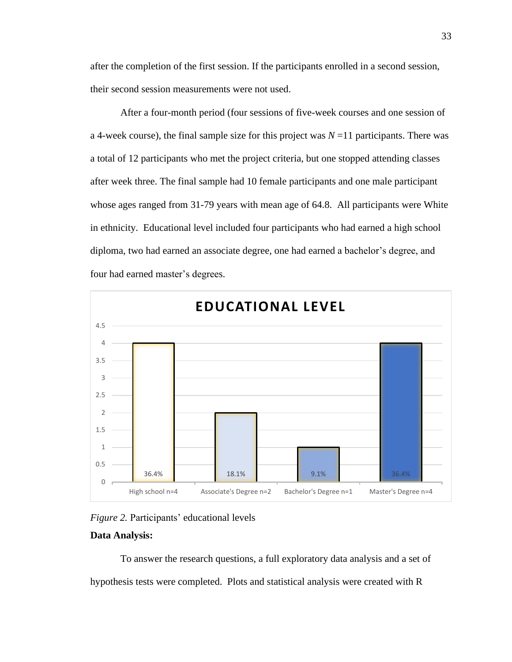after the completion of the first session. If the participants enrolled in a second session, their second session measurements were not used.

After a four-month period (four sessions of five-week courses and one session of a 4-week course), the final sample size for this project was  $N=11$  participants. There was a total of 12 participants who met the project criteria, but one stopped attending classes after week three. The final sample had 10 female participants and one male participant whose ages ranged from 31-79 years with mean age of 64.8. All participants were White in ethnicity. Educational level included four participants who had earned a high school diploma, two had earned an associate degree, one had earned a bachelor's degree, and four had earned master's degrees.





### **Data Analysis:**

To answer the research questions, a full exploratory data analysis and a set of hypothesis tests were completed. Plots and statistical analysis were created with R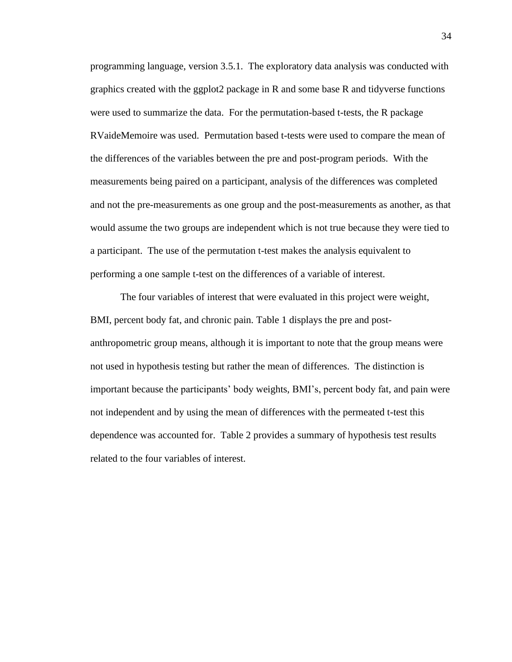programming language, version 3.5.1. The exploratory data analysis was conducted with graphics created with the ggplot2 package in R and some base R and tidyverse functions were used to summarize the data. For the permutation-based t-tests, the R package RVaideMemoire was used. Permutation based t-tests were used to compare the mean of the differences of the variables between the pre and post-program periods. With the measurements being paired on a participant, analysis of the differences was completed and not the pre-measurements as one group and the post-measurements as another, as that would assume the two groups are independent which is not true because they were tied to a participant. The use of the permutation t-test makes the analysis equivalent to performing a one sample t-test on the differences of a variable of interest.

The four variables of interest that were evaluated in this project were weight, BMI, percent body fat, and chronic pain. Table 1 displays the pre and postanthropometric group means, although it is important to note that the group means were not used in hypothesis testing but rather the mean of differences. The distinction is important because the participants' body weights, BMI's, percent body fat, and pain were not independent and by using the mean of differences with the permeated t-test this dependence was accounted for. Table 2 provides a summary of hypothesis test results related to the four variables of interest.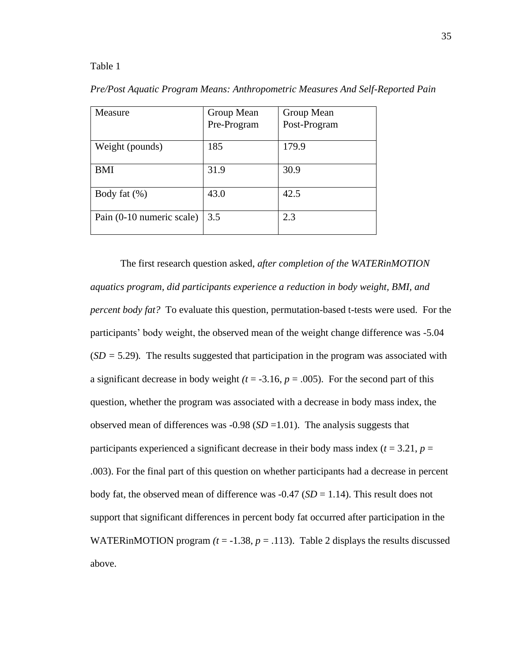### Table 1

| Measure                   | Group Mean<br>Pre-Program | Group Mean<br>Post-Program |
|---------------------------|---------------------------|----------------------------|
|                           |                           |                            |
| Weight (pounds)           | 185                       | 179.9                      |
| <b>BMI</b>                | 31.9                      | 30.9                       |
| Body fat $(\%)$           | 43.0                      | 42.5                       |
| Pain (0-10 numeric scale) | 3.5                       | 2.3                        |

*Pre/Post Aquatic Program Means: Anthropometric Measures And Self-Reported Pain*

The first research question asked, *after completion of the WATERinMOTION aquatics program, did participants experience a reduction in body weight, BMI, and percent body fat?* To evaluate this question, permutation-based t-tests were used. For the participants' body weight, the observed mean of the weight change difference was -5.04 (*SD =* 5.29)*.* The results suggested that participation in the program was associated with a significant decrease in body weight  $(t = -3.16, p = .005)$ . For the second part of this question, whether the program was associated with a decrease in body mass index, the observed mean of differences was  $-0.98$  (*SD* = 1.01). The analysis suggests that participants experienced a significant decrease in their body mass index  $(t = 3.21, p =$ .003). For the final part of this question on whether participants had a decrease in percent body fat, the observed mean of difference was  $-0.47$  (*SD* = 1.14). This result does not support that significant differences in percent body fat occurred after participation in the WATERINMOTION program  $(t = -1.38, p = .113)$ . Table 2 displays the results discussed above.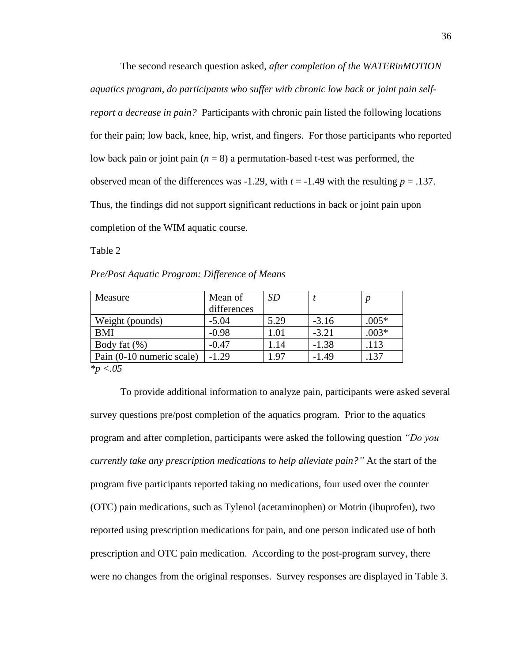The second research question asked, *after completion of the WATERinMOTION aquatics program, do participants who suffer with chronic low back or joint pain selfreport a decrease in pain?* Participants with chronic pain listed the following locations for their pain; low back, knee, hip, wrist, and fingers. For those participants who reported low back pain or joint pain (*n* = 8) a permutation-based t-test was performed, the observed mean of the differences was  $-1.29$ , with  $t = -1.49$  with the resulting  $p = .137$ . Thus, the findings did not support significant reductions in back or joint pain upon completion of the WIM aquatic course.

Table 2

*Pre/Post Aquatic Program: Difference of Means*

| Measure                                                                                                                                     | Mean of     | SD       |         |         |
|---------------------------------------------------------------------------------------------------------------------------------------------|-------------|----------|---------|---------|
|                                                                                                                                             | differences |          |         |         |
| Weight (pounds)                                                                                                                             | $-5.04$     | 5.29     | $-3.16$ | $.005*$ |
| <b>BMI</b>                                                                                                                                  | $-0.98$     | $1.01\,$ | $-3.21$ | $.003*$ |
| Body fat $(\%)$                                                                                                                             | $-0.47$     | 1.14     | $-1.38$ | .113    |
| Pain (0-10 numeric scale)                                                                                                                   | $-1.29$     | 1.97     | $-1.49$ | .137    |
| $\frac{1}{2}$ $\frac{1}{2}$ $\frac{1}{2}$ $\frac{1}{2}$ $\frac{1}{2}$ $\frac{1}{2}$ $\frac{1}{2}$ $\frac{1}{2}$ $\frac{1}{2}$ $\frac{1}{2}$ |             |          |         |         |

*\*p <.05*

To provide additional information to analyze pain, participants were asked several survey questions pre/post completion of the aquatics program. Prior to the aquatics program and after completion, participants were asked the following question *"Do you currently take any prescription medications to help alleviate pain?"* At the start of the program five participants reported taking no medications, four used over the counter (OTC) pain medications, such as Tylenol (acetaminophen) or Motrin (ibuprofen), two reported using prescription medications for pain, and one person indicated use of both prescription and OTC pain medication. According to the post-program survey, there were no changes from the original responses. Survey responses are displayed in Table 3.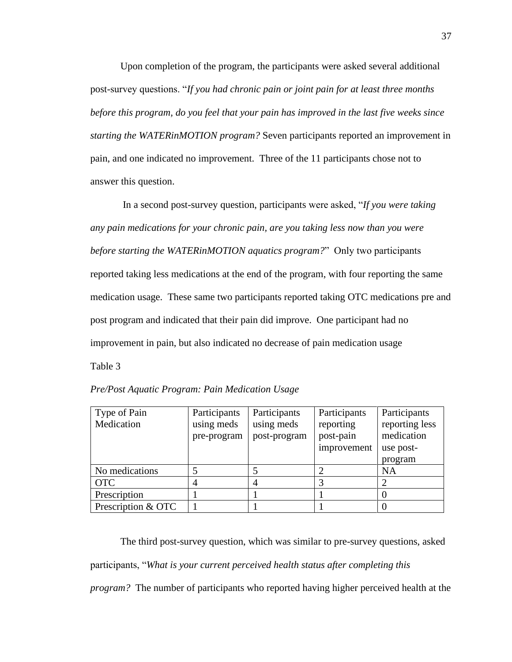Upon completion of the program, the participants were asked several additional post-survey questions. "*If you had chronic pain or joint pain for at least three months before this program, do you feel that your pain has improved in the last five weeks since starting the WATERinMOTION program?* Seven participants reported an improvement in pain, and one indicated no improvement. Three of the 11 participants chose not to answer this question.

In a second post-survey question, participants were asked, "*If you were taking any pain medications for your chronic pain, are you taking less now than you were before starting the WATERinMOTION aquatics program?*" Only two participants reported taking less medications at the end of the program, with four reporting the same medication usage. These same two participants reported taking OTC medications pre and post program and indicated that their pain did improve. One participant had no improvement in pain, but also indicated no decrease of pain medication usage Table 3

| Type of Pain       | Participants | Participants | Participants | Participants   |
|--------------------|--------------|--------------|--------------|----------------|
| Medication         | using meds   | using meds   | reporting    | reporting less |
|                    | pre-program  | post-program | post-pain    | medication     |
|                    |              |              | improvement  | use post-      |
|                    |              |              |              | program        |
| No medications     |              |              |              | <b>NA</b>      |
| <b>OTC</b>         |              |              |              |                |
| Prescription       |              |              |              |                |
| Prescription & OTC |              |              |              |                |

|  |  |  | Pre/Post Aquatic Program: Pain Medication Usage |  |
|--|--|--|-------------------------------------------------|--|
|--|--|--|-------------------------------------------------|--|

The third post-survey question, which was similar to pre-survey questions, asked participants, "*What is your current perceived health status after completing this program?* The number of participants who reported having higher perceived health at the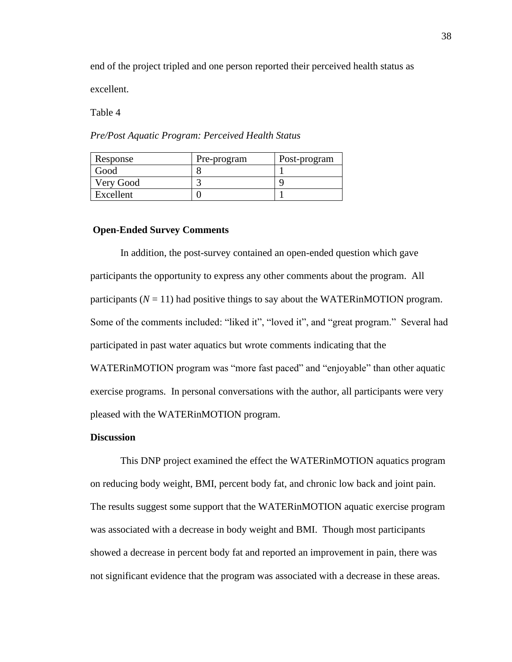end of the project tripled and one person reported their perceived health status as

excellent.

Table 4

*Pre/Post Aquatic Program: Perceived Health Status*

| Response  | Pre-program | Post-program |
|-----------|-------------|--------------|
| Good      |             |              |
| Very Good |             |              |
| Excellent |             |              |

### **Open-Ended Survey Comments**

In addition, the post-survey contained an open-ended question which gave participants the opportunity to express any other comments about the program. All participants  $(N = 11)$  had positive things to say about the WATERINMOTION program. Some of the comments included: "liked it", "loved it", and "great program." Several had participated in past water aquatics but wrote comments indicating that the WATERINMOTION program was "more fast paced" and "enjoyable" than other aquatic exercise programs. In personal conversations with the author, all participants were very pleased with the WATERinMOTION program.

### **Discussion**

This DNP project examined the effect the WATERinMOTION aquatics program on reducing body weight, BMI, percent body fat, and chronic low back and joint pain. The results suggest some support that the WATERinMOTION aquatic exercise program was associated with a decrease in body weight and BMI. Though most participants showed a decrease in percent body fat and reported an improvement in pain, there was not significant evidence that the program was associated with a decrease in these areas.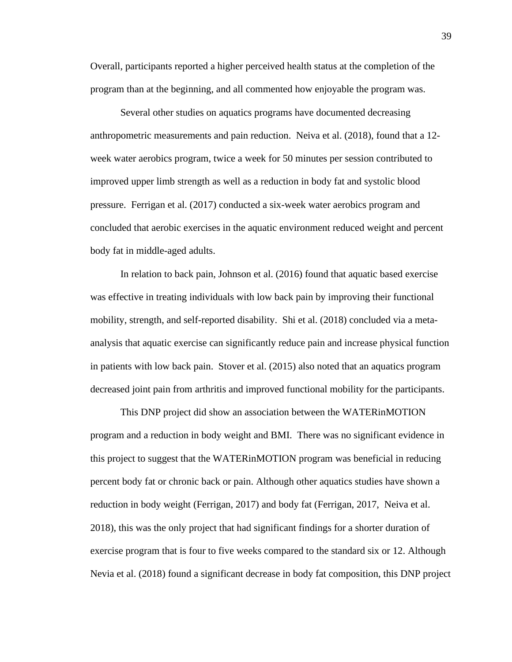Overall, participants reported a higher perceived health status at the completion of the program than at the beginning, and all commented how enjoyable the program was.

Several other studies on aquatics programs have documented decreasing anthropometric measurements and pain reduction. Neiva et al. (2018), found that a 12 week water aerobics program, twice a week for 50 minutes per session contributed to improved upper limb strength as well as a reduction in body fat and systolic blood pressure. Ferrigan et al. (2017) conducted a six-week water aerobics program and concluded that aerobic exercises in the aquatic environment reduced weight and percent body fat in middle-aged adults.

In relation to back pain, Johnson et al. (2016) found that aquatic based exercise was effective in treating individuals with low back pain by improving their functional mobility, strength, and self-reported disability. Shi et al. (2018) concluded via a metaanalysis that aquatic exercise can significantly reduce pain and increase physical function in patients with low back pain. Stover et al. (2015) also noted that an aquatics program decreased joint pain from arthritis and improved functional mobility for the participants.

This DNP project did show an association between the WATERinMOTION program and a reduction in body weight and BMI. There was no significant evidence in this project to suggest that the WATERinMOTION program was beneficial in reducing percent body fat or chronic back or pain. Although other aquatics studies have shown a reduction in body weight (Ferrigan, 2017) and body fat (Ferrigan, 2017, Neiva et al. 2018), this was the only project that had significant findings for a shorter duration of exercise program that is four to five weeks compared to the standard six or 12. Although Nevia et al. (2018) found a significant decrease in body fat composition, this DNP project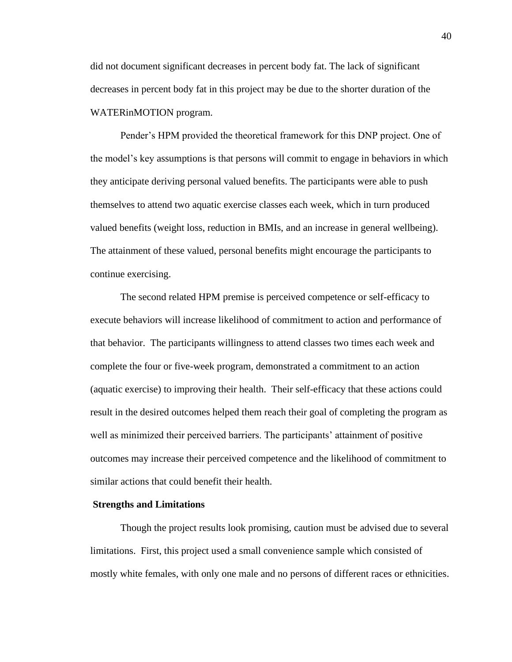did not document significant decreases in percent body fat. The lack of significant decreases in percent body fat in this project may be due to the shorter duration of the WATERinMOTION program.

Pender's HPM provided the theoretical framework for this DNP project. One of the model's key assumptions is that persons will commit to engage in behaviors in which they anticipate deriving personal valued benefits. The participants were able to push themselves to attend two aquatic exercise classes each week, which in turn produced valued benefits (weight loss, reduction in BMIs, and an increase in general wellbeing). The attainment of these valued, personal benefits might encourage the participants to continue exercising.

The second related HPM premise is perceived competence or self-efficacy to execute behaviors will increase likelihood of commitment to action and performance of that behavior. The participants willingness to attend classes two times each week and complete the four or five-week program, demonstrated a commitment to an action (aquatic exercise) to improving their health. Their self-efficacy that these actions could result in the desired outcomes helped them reach their goal of completing the program as well as minimized their perceived barriers. The participants' attainment of positive outcomes may increase their perceived competence and the likelihood of commitment to similar actions that could benefit their health.

#### **Strengths and Limitations**

Though the project results look promising, caution must be advised due to several limitations. First, this project used a small convenience sample which consisted of mostly white females, with only one male and no persons of different races or ethnicities.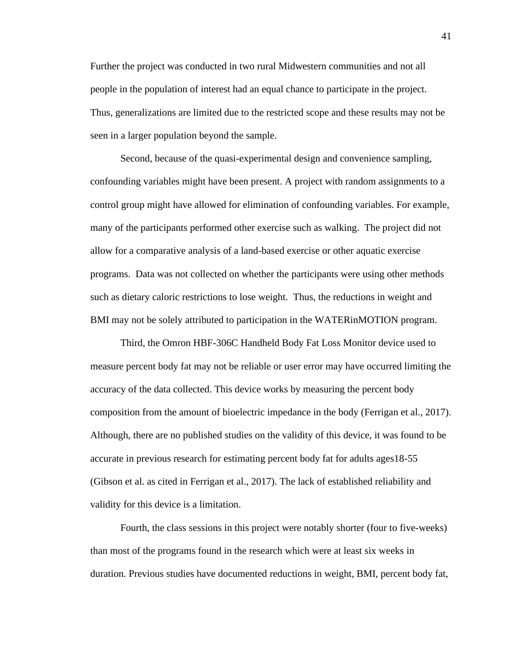Further the project was conducted in two rural Midwestern communities and not all people in the population of interest had an equal chance to participate in the project. Thus, generalizations are limited due to the restricted scope and these results may not be seen in a larger population beyond the sample.

Second, because of the quasi-experimental design and convenience sampling, confounding variables might have been present. A project with random assignments to a control group might have allowed for elimination of confounding variables. For example, many of the participants performed other exercise such as walking. The project did not allow for a comparative analysis of a land-based exercise or other aquatic exercise programs. Data was not collected on whether the participants were using other methods such as dietary caloric restrictions to lose weight. Thus, the reductions in weight and BMI may not be solely attributed to participation in the WATERinMOTION program.

Third, the Omron HBF-306C Handheld Body Fat Loss Monitor device used to measure percent body fat may not be reliable or user error may have occurred limiting the accuracy of the data collected. This device works by measuring the percent body composition from the amount of bioelectric impedance in the body (Ferrigan et al., 2017). Although, there are no published studies on the validity of this device, it was found to be accurate in previous research for estimating percent body fat for adults ages18-55 (Gibson et al. as cited in Ferrigan et al., 2017). The lack of established reliability and validity for this device is a limitation.

Fourth, the class sessions in this project were notably shorter (four to five-weeks) than most of the programs found in the research which were at least six weeks in duration. Previous studies have documented reductions in weight, BMI, percent body fat,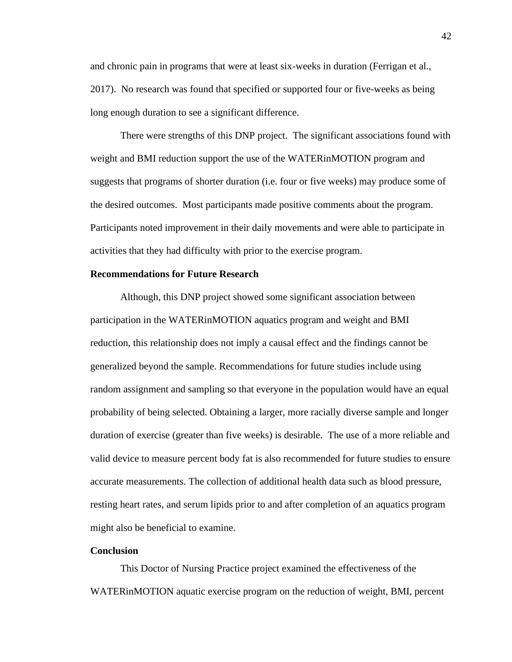and chronic pain in programs that were at least six-weeks in duration (Ferrigan et al., 2017). No research was found that specified or supported four or five-weeks as being long enough duration to see a significant difference.

There were strengths of this DNP project. The significant associations found with weight and BMI reduction support the use of the WATERinMOTION program and suggests that programs of shorter duration (i.e. four or five weeks) may produce some of the desired outcomes. Most participants made positive comments about the program. Participants noted improvement in their daily movements and were able to participate in activities that they had difficulty with prior to the exercise program.

### **Recommendations for Future Research**

Although, this DNP project showed some significant association between participation in the WATERinMOTION aquatics program and weight and BMI reduction, this relationship does not imply a causal effect and the findings cannot be generalized beyond the sample. Recommendations for future studies include using random assignment and sampling so that everyone in the population would have an equal probability of being selected. Obtaining a larger, more racially diverse sample and longer duration of exercise (greater than five weeks) is desirable. The use of a more reliable and valid device to measure percent body fat is also recommended for future studies to ensure accurate measurements. The collection of additional health data such as blood pressure, resting heart rates, and serum lipids prior to and after completion of an aquatics program might also be beneficial to examine.

### **Conclusion**

This Doctor of Nursing Practice project examined the effectiveness of the WATERinMOTION aquatic exercise program on the reduction of weight, BMI, percent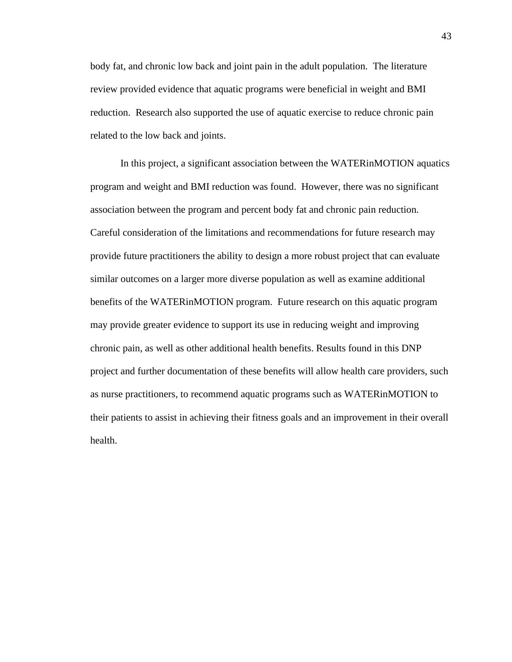body fat, and chronic low back and joint pain in the adult population. The literature review provided evidence that aquatic programs were beneficial in weight and BMI reduction. Research also supported the use of aquatic exercise to reduce chronic pain related to the low back and joints.

In this project, a significant association between the WATERinMOTION aquatics program and weight and BMI reduction was found. However, there was no significant association between the program and percent body fat and chronic pain reduction. Careful consideration of the limitations and recommendations for future research may provide future practitioners the ability to design a more robust project that can evaluate similar outcomes on a larger more diverse population as well as examine additional benefits of the WATERinMOTION program. Future research on this aquatic program may provide greater evidence to support its use in reducing weight and improving chronic pain, as well as other additional health benefits. Results found in this DNP project and further documentation of these benefits will allow health care providers, such as nurse practitioners, to recommend aquatic programs such as WATERinMOTION to their patients to assist in achieving their fitness goals and an improvement in their overall health.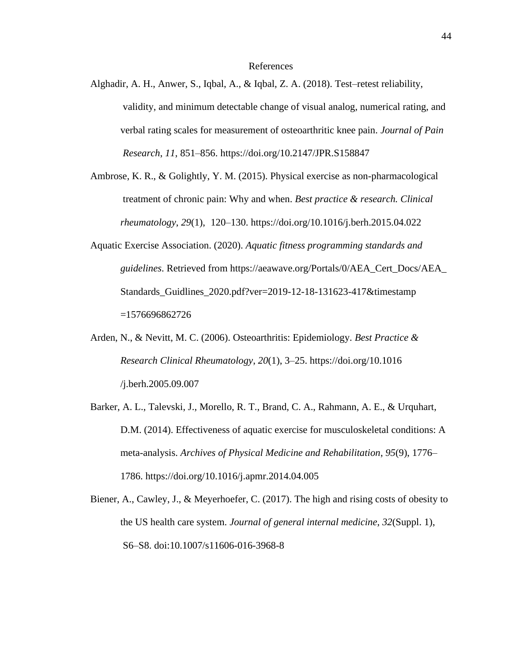### References

- Alghadir, A. H., Anwer, S., Iqbal, A., & Iqbal, Z. A. (2018). Test–retest reliability, validity, and minimum detectable change of visual analog, numerical rating, and verbal rating scales for measurement of osteoarthritic knee pain. *Journal of Pain Research*, *11*, 851–856. https://doi.org/10.2147/JPR.S158847
- Ambrose, K. R., & Golightly, Y. M. (2015). Physical exercise as non-pharmacological treatment of chronic pain: Why and when. *Best practice & research. Clinical rheumatology*, *29*(1), 120–130.<https://doi.org/10.1016/j.berh.2015.04.022>
- Aquatic Exercise Association. (2020). *Aquatic fitness programming standards and guidelines*. Retrieved from [https://aeawave.org/Portals/0/AEA\\_Cert\\_Docs/AEA\\_](https://aeawave.org/Portals/0/AEA_Cert_Docs/AEA_%09%20%09Standards_Guidlines_2020.pdf?ver=2019-12-18-131623-417×tamp%20%09=1576696862726) [Standards\\_Guidlines\\_2020.pdf?ver=2019-12-18-131623-417&timestamp](https://aeawave.org/Portals/0/AEA_Cert_Docs/AEA_%09%20%09Standards_Guidlines_2020.pdf?ver=2019-12-18-131623-417×tamp%20%09=1576696862726) [=1576696862726](https://aeawave.org/Portals/0/AEA_Cert_Docs/AEA_%09%20%09Standards_Guidlines_2020.pdf?ver=2019-12-18-131623-417×tamp%20%09=1576696862726)
- Arden, N., & Nevitt, M. C. (2006). Osteoarthritis: Epidemiology. *Best Practice & Research Clinical Rheumatology*, *20*(1), 3–25.<https://doi.org/10.1016> /j.berh.2005.09.007
- Barker, A. L., Talevski, J., Morello, R. T., Brand, C. A., Rahmann, A. E., & Urquhart, D.M. (2014). Effectiveness of aquatic exercise for musculoskeletal conditions: A meta-analysis. *Archives of Physical Medicine and Rehabilitation*, *95*(9), 1776– 1786.<https://doi.org/10.1016/j.apmr.2014.04.005>
- Biener, A., Cawley, J., & Meyerhoefer, C. (2017). The high and rising costs of obesity to the US health care system. *Journal of general internal medicine*, *32*(Suppl. 1), S6–S8. doi:10.1007/s11606-016-3968-8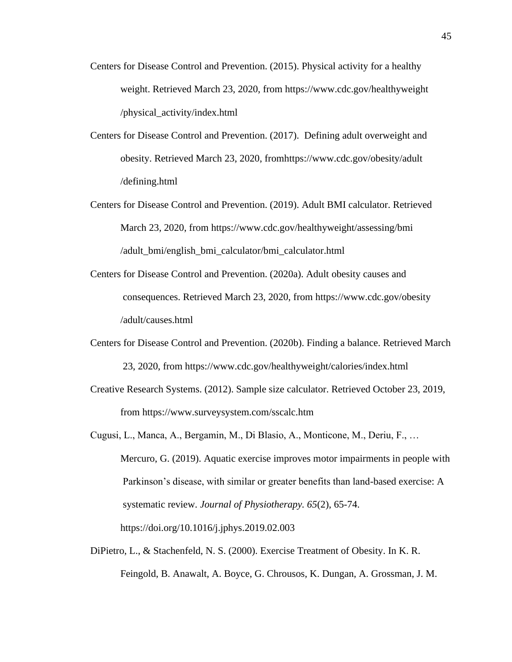- Centers for Disease Control and Prevention. (2015). Physical activity for a healthy weight. Retrieved March 23, 2020, from [https://www.cdc.gov/healthyweight](https://www.cdc.gov/healthyweight%09%09/physical_activity/index.html) [/physical\\_activity/index.html](https://www.cdc.gov/healthyweight%09%09/physical_activity/index.html)
- Centers for Disease Control and Prevention. (2017). Defining adult overweight and obesity. Retrieved March 23, 2020, fro[mhttps://www.cdc.gov/obesity/adult](https://www.cdc.gov/obesity/adult%20%09/defining.html) [/defining.html](https://www.cdc.gov/obesity/adult%20%09/defining.html)
- Centers for Disease Control and Prevention. (2019). Adult BMI calculator. Retrieved March 23, 2020, from [https://www.cdc.gov/healthyweight/assessing/bmi](https://www.cdc.gov/healthyweight/assessing/bmi%20%09/adult_bmi/english_bmi_calculator/bmi_calculator.html) [/adult\\_bmi/english\\_bmi\\_calculator/bmi\\_calculator.html](https://www.cdc.gov/healthyweight/assessing/bmi%20%09/adult_bmi/english_bmi_calculator/bmi_calculator.html)
- Centers for Disease Control and Prevention. (2020a). Adult obesity causes and consequences. Retrieved March 23, 2020, from [https://www.cdc.gov/obesity](https://www.cdc.gov/obesity%09%20%09/adult/causes.html) [/adult/causes.html](https://www.cdc.gov/obesity%09%20%09/adult/causes.html)
- Centers for Disease Control and Prevention. (2020b). Finding a balance. Retrieved March 23, 2020, from<https://www.cdc.gov/healthyweight/calories/index.html>
- Creative Research Systems. (2012). Sample size calculator. Retrieved October 23, 2019, from<https://www.surveysystem.com/sscalc.htm>
- Cugusi, L., Manca, A., Bergamin, M., Di Blasio, A., Monticone, M., Deriu, F., … Mercuro, G. (2019). Aquatic exercise improves motor impairments in people with Parkinson's disease, with similar or greater benefits than land-based exercise: A systematic review. *Journal of Physiotherapy. 65*(2), 65-74. <https://doi.org/10.1016/j.jphys.2019.02.003>
- DiPietro, L., & Stachenfeld, N. S. (2000). Exercise Treatment of Obesity. In K. R. Feingold, B. Anawalt, A. Boyce, G. Chrousos, K. Dungan, A. Grossman, J. M.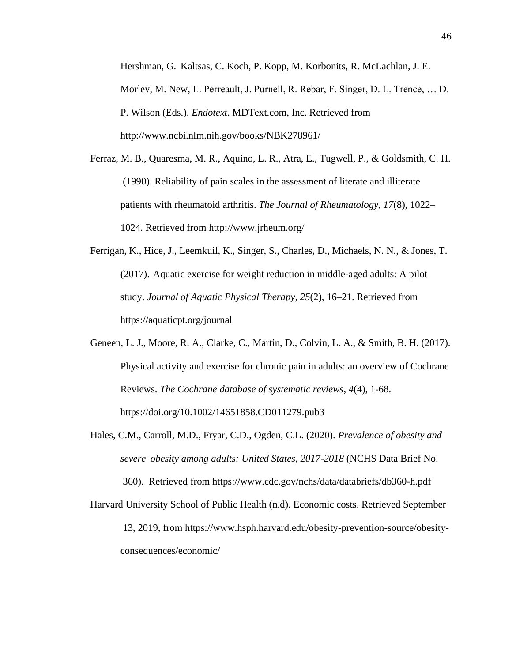Hershman, G. Kaltsas, C. Koch, P. Kopp, M. Korbonits, R. McLachlan, J. E. Morley, M. New, L. Perreault, J. Purnell, R. Rebar, F. Singer, D. L. Trence, … D. P. Wilson (Eds.), *Endotext*. MDText.com, Inc. Retrieved from http://www.ncbi.nlm.nih.gov/books/NBK278961/

- Ferraz, M. B., Quaresma, M. R., Aquino, L. R., Atra, E., Tugwell, P., & Goldsmith, C. H. (1990). Reliability of pain scales in the assessment of literate and illiterate patients with rheumatoid arthritis. *The Journal of Rheumatology*, *17*(8), 1022– 1024. Retrieved from <http://www.jrheum.org/>
- Ferrigan, K., Hice, J., Leemkuil, K., Singer, S., Charles, D., Michaels, N. N., & Jones, T. (2017). Aquatic exercise for weight reduction in middle-aged adults: A pilot study. *Journal of Aquatic Physical Therapy*, *25*(2), 16–21. Retrieved from <https://aquaticpt.org/journal>
- Geneen, L. J., Moore, R. A., Clarke, C., Martin, D., Colvin, L. A., & Smith, B. H. (2017). Physical activity and exercise for chronic pain in adults: an overview of Cochrane Reviews. *The Cochrane database of systematic reviews*, *4*(4), 1-68. <https://doi.org/10.1002/14651858.CD011279.pub3>
- Hales, C.M., Carroll, M.D., Fryar, C.D., Ogden, C.L. (2020). *Prevalence of obesity and severe obesity among adults: United States, 2017-2018* (NCHS Data Brief No. 360). Retrieved from<https://www.cdc.gov/nchs/data/databriefs/db360-h.pdf>
- Harvard University School of Public Health (n.d). Economic costs. Retrieved September 13, 2019, from [https://www.hsph.harvard.edu/obesity-prevention-source/obesity](https://www.hsph.harvard.edu/obesity-prevention-source/obesity-)consequences/economic/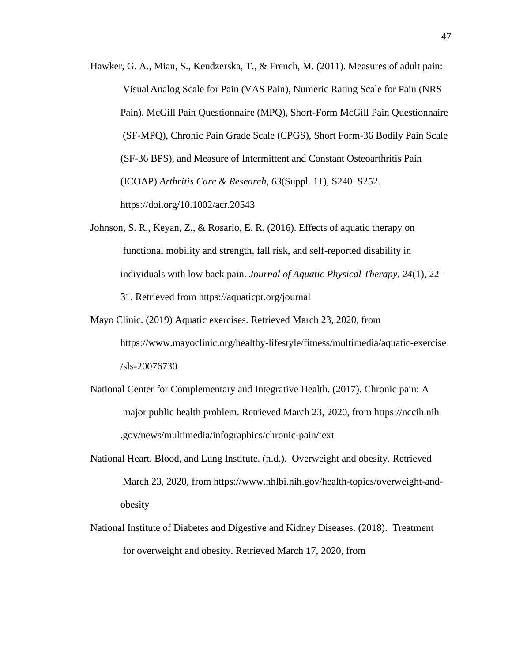- Hawker, G. A., Mian, S., Kendzerska, T., & French, M. (2011). Measures of adult pain: VisualAnalog Scale for Pain (VAS Pain), Numeric Rating Scale for Pain (NRS Pain), McGill Pain Questionnaire (MPQ), Short-Form McGill Pain Questionnaire (SF-MPQ), Chronic Pain Grade Scale (CPGS), Short Form-36 Bodily Pain Scale (SF-36 BPS), and Measure of Intermittent and Constant Osteoarthritis Pain (ICOAP) *Arthritis Care & Research*, *63*(Suppl. 11), S240–S252. <https://doi.org/10.1002/acr.20543>
- Johnson, S. R., Keyan, Z., & Rosario, E. R. (2016). Effects of aquatic therapy on functional mobility and strength, fall risk, and self-reported disability in individuals with low back pain. *Journal of Aquatic Physical Therapy*, *24*(1), 22– 31. Retrieved from<https://aquaticpt.org/journal>
- Mayo Clinic. (2019) Aquatic exercises. Retrieved March 23, 2020, from <https://www.mayoclinic.org/healthy-lifestyle/fitness/multimedia/aquatic-exercise> /sls-20076730
- National Center for Complementary and Integrative Health. (2017). Chronic pain: A major public health problem. Retrieved March 23, 2020, from https://nccih.nih .gov/news/multimedia/infographics/chronic-pain/text
- National Heart, Blood, and Lung Institute. (n.d.). Overweight and obesity. Retrieved March 23, 2020, from [https://www.nhlbi.nih.gov/health-topics/overweight-and](https://www.nhlbi.nih.gov/health-topics/overweight-and-%09obesity)[obesity](https://www.nhlbi.nih.gov/health-topics/overweight-and-%09obesity)
- National Institute of Diabetes and Digestive and Kidney Diseases. (2018). Treatment for overweight and obesity. Retrieved March 17, 2020, from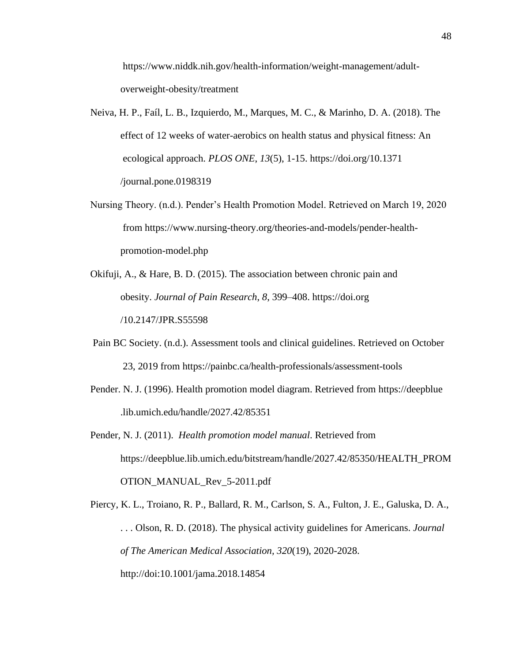[https://www.niddk.nih.gov/health-information/weight-management/adult](https://www.niddk.nih.gov/health-information/weight-management/adult-%09overweight-obesity/treatment)[overweight-obesity/treatment](https://www.niddk.nih.gov/health-information/weight-management/adult-%09overweight-obesity/treatment)

- Neiva, H. P., Faíl, L. B., Izquierdo, M., Marques, M. C., & Marinho, D. A. (2018). The effect of 12 weeks of water-aerobics on health status and physical fitness: An ecological approach. *PLOS ONE*, *13*(5), 1-15. [https://doi.org/10.1371](https://doi.org/10.1371%09%09%20%20%09/journal.pone.0198319) [/journal.pone.0198319](https://doi.org/10.1371%09%09%20%20%09/journal.pone.0198319)
- Nursing Theory. (n.d.). Pender's Health Promotion Model. Retrieved on March 19, 2020 from [https://www.nursing-theory.org/theories-and-models/pender-health](https://www.nursing-theory.org/theories-and-models/pender-health-%09promotion-model.php)[promotion-model.php](https://www.nursing-theory.org/theories-and-models/pender-health-%09promotion-model.php)
- Okifuji, A., & Hare, B. D. (2015). The association between chronic pain and obesity. *Journal of Pain Research*, *8*, 399–408. [https://doi.org](https://doi.org/) /10.2147/JPR.S55598
- Pain BC Society. (n.d.). Assessment tools and clinical guidelines. Retrieved on October 23, 2019 from<https://painbc.ca/health-professionals/assessment-tools>
- Pender. N. J. (1996). Health promotion model diagram. Retrieved from https://deepblue .lib.umich.edu/handle/2027.42/85351
- Pender, N. J. (2011). *Health promotion model manual*. Retrieved from [https://deepblue.lib.umich.edu/bitstream/handle/2027.42/85350/HEALTH\\_PROM](https://deepblue.lib.umich.edu/bitstream/handle/2027.42/85350/HEALTH_PROM) OTION\_MANUAL\_Rev\_5-2011.pdf

Piercy, K. L., Troiano, R. P., Ballard, R. M., Carlson, S. A., Fulton, J. E., Galuska, D. A., . . . Olson, R. D. (2018). The physical activity guidelines for Americans. *Journal of The American Medical Association, 320*(19), 2020-2028. <http://doi:10.1001/jama.2018.14854>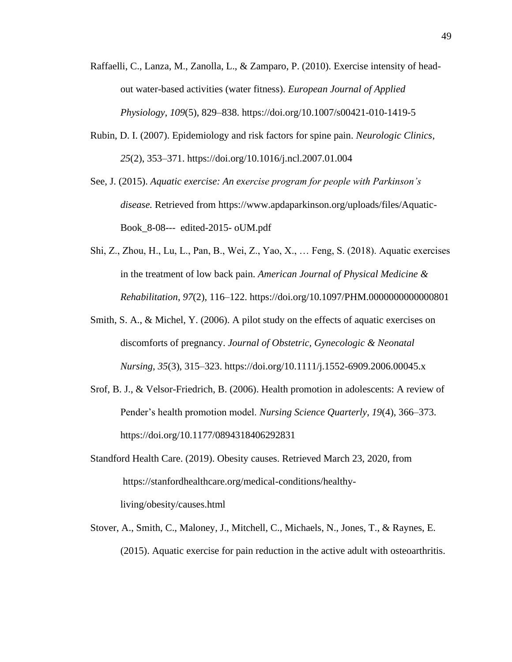- Raffaelli, C., Lanza, M., Zanolla, L., & Zamparo, P. (2010). Exercise intensity of headout water-based activities (water fitness). *European Journal of Applied Physiology*, *109*(5), 829–838. https://doi.org/10.1007/s00421-010-1419-5
- Rubin, D. I. (2007). Epidemiology and risk factors for spine pain. *Neurologic Clinics*, *25*(2), 353–371. https://doi.org/10.1016/j.ncl.2007.01.004

See, J. (2015). *Aquatic exercise: An exercise program for people with Parkinson's disease.* Retrieved from https://www.apdaparkinson.org/uploads/files/Aquatic-Book\_8-08--- edited-2015- oUM.pdf

- Shi, Z., Zhou, H., Lu, L., Pan, B., Wei, Z., Yao, X., … Feng, S. (2018). Aquatic exercises in the treatment of low back pain. *American Journal of Physical Medicine & Rehabilitation*, *97*(2), 116–122. https://doi.org/10.1097/PHM.0000000000000801
- Smith, S. A., & Michel, Y. (2006). A pilot study on the effects of aquatic exercises on discomforts of pregnancy. *Journal of Obstetric, Gynecologic & Neonatal Nursing*, *35*(3), 315–323. https://doi.org/10.1111/j.1552-6909.2006.00045.x
- Srof, B. J., & Velsor-Friedrich, B. (2006). Health promotion in adolescents: A review of Pender's health promotion model. *Nursing Science Quarterly*, *19*(4), 366–373. https://doi.org/10.1177/0894318406292831
- Standford Health Care. (2019). Obesity causes. Retrieved March 23, 2020, from https://stanfordhealthcare.org/medical-conditions/healthyliving/obesity/causes.html
- Stover, A., Smith, C., Maloney, J., Mitchell, C., Michaels, N., Jones, T., & Raynes, E. (2015). Aquatic exercise for pain reduction in the active adult with osteoarthritis.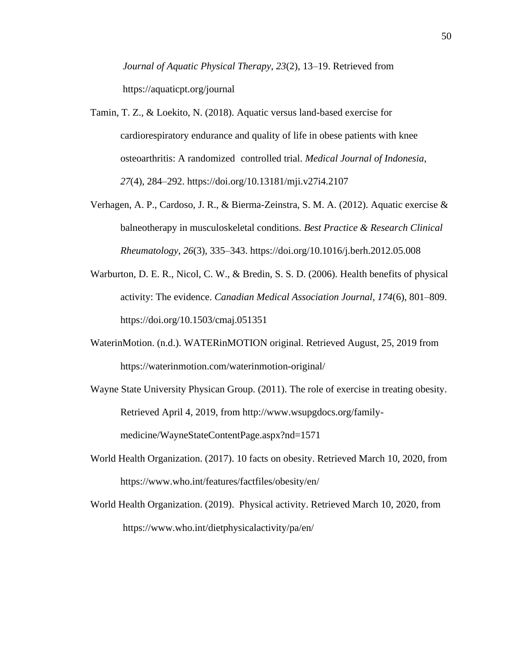*Journal of Aquatic Physical Therapy*, *23*(2), 13–19. Retrieved from https://aquaticpt.org/journal

- Tamin, T. Z., & Loekito, N. (2018). Aquatic versus land-based exercise for cardiorespiratory endurance and quality of life in obese patients with knee osteoarthritis: A randomized controlled trial. *Medical Journal of Indonesia*, *27*(4), 284–292. https://doi.org/10.13181/mji.v27i4.2107
- Verhagen, A. P., Cardoso, J. R., & Bierma-Zeinstra, S. M. A. (2012). Aquatic exercise & balneotherapy in musculoskeletal conditions. *Best Practice & Research Clinical Rheumatology*, *26*(3), 335–343. https://doi.org/10.1016/j.berh.2012.05.008
- Warburton, D. E. R., Nicol, C. W., & Bredin, S. S. D. (2006). Health benefits of physical activity: The evidence. *Canadian Medical Association Journal, 174*(6), 801–809. https://doi.org/10.1503/cmaj.051351
- WaterinMotion. (n.d.). WATERinMOTION original. Retrieved August, 25, 2019 from https://waterinmotion.com/waterinmotion-original/
- Wayne State University Physican Group. (2011). The role of exercise in treating obesity. Retrieved April 4, 2019, from http://www.wsupgdocs.org/familymedicine/WayneStateContentPage.aspx?nd=1571
- World Health Organization. (2017). 10 facts on obesity. Retrieved March 10, 2020, from https://www.who.int/features/factfiles/obesity/en/
- World Health Organization. (2019). Physical activity. Retrieved March 10, 2020, from <https://www.who.int/dietphysicalactivity/pa/en/>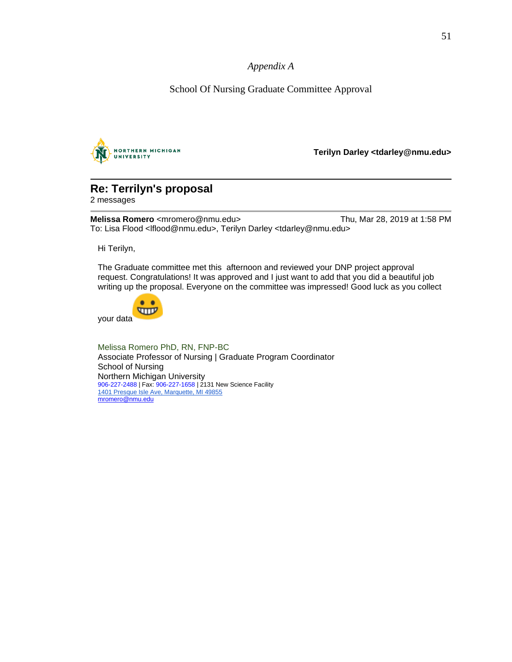*Appendix A*

School Of Nursing Graduate Committee Approval



**Terilyn Darley <tdarley@nmu.edu>**

# **Re: Terrilyn's proposal**

2 messages

**Melissa Romero** <mromero@nmu.edu> Thu, Mar 28, 2019 at 1:58 PM To: Lisa Flood <lflood@nmu.edu>, Terilyn Darley <tdarley@nmu.edu>

Hi Terilyn,

The Graduate committee met this afternoon and reviewed your DNP project approval request. Congratulations! It was approved and I just want to add that you did a beautiful job writing up the proposal. Everyone on the committee was impressed! Good luck as you collect



Melissa Romero PhD, RN, FNP-BC Associate Professor of Nursing | Graduate Program Coordinator School of Nursing Northern Michigan University 906-227-2488 | Fax: 906-227-1658 | 2131 New Science Facility [1401 Presque Isle Ave, Marquette, MI 49855](https://www.google.com/maps/search/1401+Presque+Isle+Ave,+Marquette,+MI+49855?entry=gmail&source=g) [mromero@nmu.edu](mailto:mromero@nmu.edu)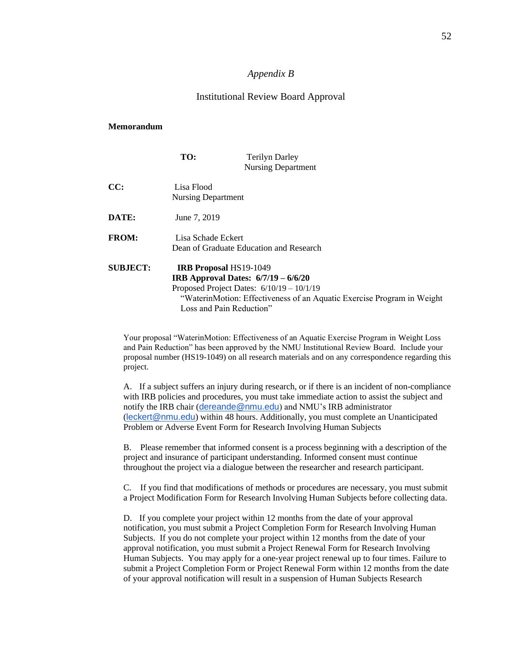### *Appendix B*

### Institutional Review Board Approval

#### **Memorandum**

|                 | TO:                                                       | <b>Terilyn Darley</b><br><b>Nursing Department</b>                                                                                                                    |
|-----------------|-----------------------------------------------------------|-----------------------------------------------------------------------------------------------------------------------------------------------------------------------|
| CC:             | Lisa Flood<br>Nursing Department                          |                                                                                                                                                                       |
| DATE:           | June 7, 2019                                              |                                                                                                                                                                       |
| <b>FROM:</b>    | Lisa Schade Eckert                                        | Dean of Graduate Education and Research                                                                                                                               |
| <b>SUBJECT:</b> | <b>IRB Proposal HS19-1049</b><br>Loss and Pain Reduction" | <b>IRB</b> Approval Dates: $6/7/19 - 6/6/20$<br>Proposed Project Dates: $6/10/19 - 10/1/19$<br>"WaterinMotion: Effectiveness of an Aquatic Exercise Program in Weight |

Your proposal "WaterinMotion: Effectiveness of an Aquatic Exercise Program in Weight Loss and Pain Reduction" has been approved by the NMU Institutional Review Board. Include your proposal number (HS19-1049) on all research materials and on any correspondence regarding this project.

A. If a subject suffers an injury during research, or if there is an incident of non-compliance with IRB policies and procedures, you must take immediate action to assist the subject and notify the IRB chair ([dereande@nmu.edu](mailto:dereande@nmu.edu)) and NMU's IRB administrator ([leckert@nmu.edu](mailto:leckert@nmu.edu)) within 48 hours. Additionally, you must complete an Unanticipated Problem or Adverse Event Form for Research Involving Human Subjects

B. Please remember that informed consent is a process beginning with a description of the project and insurance of participant understanding. Informed consent must continue throughout the project via a dialogue between the researcher and research participant.

C. If you find that modifications of methods or procedures are necessary, you must submit a Project Modification Form for Research Involving Human Subjects before collecting data.

D. If you complete your project within 12 months from the date of your approval notification, you must submit a Project Completion Form for Research Involving Human Subjects. If you do not complete your project within 12 months from the date of your approval notification, you must submit a Project Renewal Form for Research Involving Human Subjects. You may apply for a one-year project renewal up to four times. Failure to submit a Project Completion Form or Project Renewal Form within 12 months from the date of your approval notification will result in a suspension of Human Subjects Research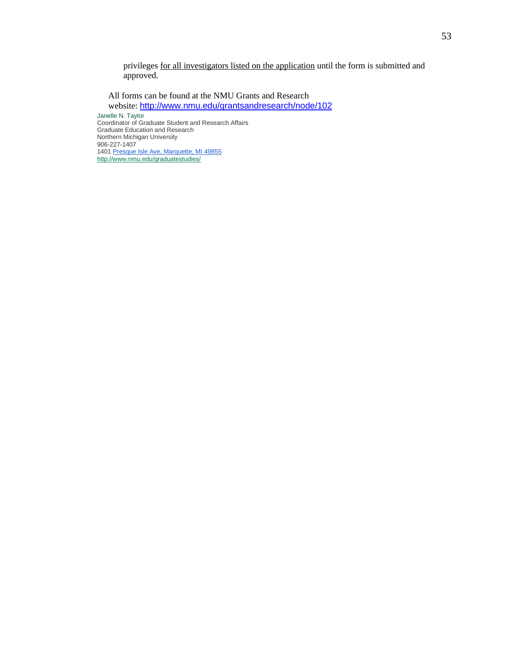privileges for all investigators listed on the application until the form is submitted and approved.

All forms can be found at the NMU Grants and Research website: <http://www.nmu.edu/grantsandresearch/node/102> Janelle N. Taylor Coordinator of Graduate Student and Research Affairs Graduate Education and Research Northern Michigan University 906-227-1407 1401 [Presque Isle Ave, Marquette, MI 49855](https://www.google.com/maps/search/Presque+Isle+Ave,+Marquette,+MI+49855?entry=gmail&source=g) <http://www.nmu.edu/graduatestudies/>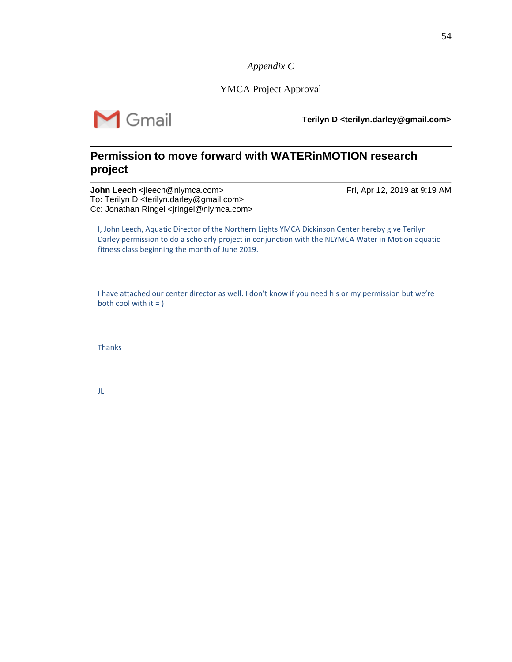*Appendix C*

YMCA Project Approval

 $\bigvee$  Gmail

**Terilyn D <terilyn.darley@gmail.com>**

## **Permission to move forward with WATERinMOTION research project**

**John Leech** <jleech@nlymca.com> Fri, Apr 12, 2019 at 9:19 AM To: Terilyn D <terilyn.darley@gmail.com> Cc: Jonathan Ringel <iringel@nlymca.com>

I, John Leech, Aquatic Director of the Northern Lights YMCA Dickinson Center hereby give Terilyn Darley permission to do a scholarly project in conjunction with the NLYMCA Water in Motion aquatic fitness class beginning the month of June 2019.

I have attached our center director as well. I don't know if you need his or my permission but we're both cool with  $it =$  )

**Thanks** 

JL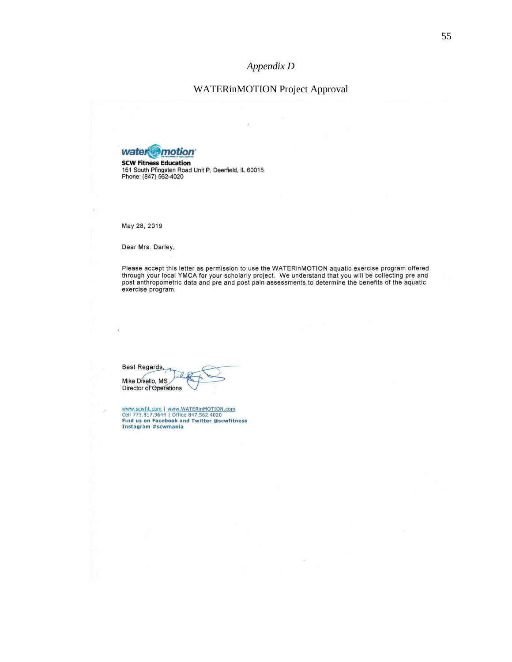## *Appendix D*

## WATERinMOTION Project Approval



SCW Fitness Education<br>151 South Pfingsten Road Unit P, Deerfield, IL 60015<br>Phone: (847) 562-4020

May 28, 2019

Dear Mrs. Darley,

Please accept this letter as permission to use the WATERinMOTION aquatic exercise program offered through your local YMCA for your scholarly project. We understand that you will be collecting pre and post anthropometric data and pre and post pain assessments to determine the benefits of the aquatic exercise program.

Best Regards, Mike Divello, MS Director of Operations

www.scwfit.com | www.WATERinMOTION.com<br>Cell 773.817.9644 | Office 847.562.4020<br>Find us on Facebook and Twitter @scwfitness<br>Instagram #scwmania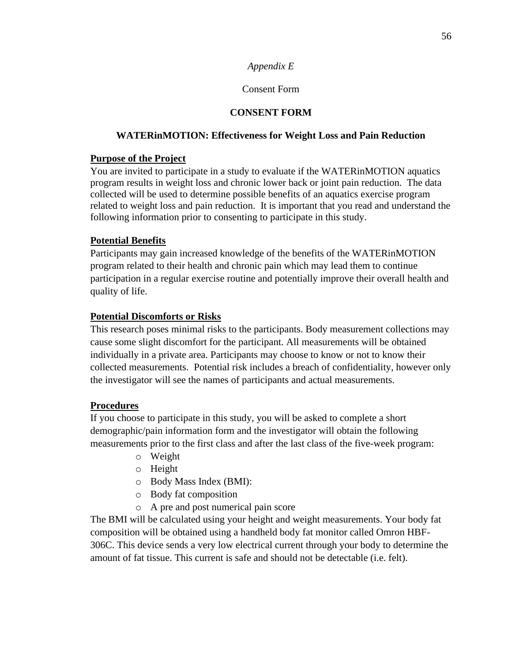## *Appendix E*

## Consent Form

## **CONSENT FORM**

## **WATERinMOTION: Effectiveness for Weight Loss and Pain Reduction**

## **Purpose of the Project**

You are invited to participate in a study to evaluate if the WATERinMOTION aquatics program results in weight loss and chronic lower back or joint pain reduction. The data collected will be used to determine possible benefits of an aquatics exercise program related to weight loss and pain reduction. It is important that you read and understand the following information prior to consenting to participate in this study.

## **Potential Benefits**

Participants may gain increased knowledge of the benefits of the WATERinMOTION program related to their health and chronic pain which may lead them to continue participation in a regular exercise routine and potentially improve their overall health and quality of life.

## **Potential Discomforts or Risks**

This research poses minimal risks to the participants. Body measurement collections may cause some slight discomfort for the participant. All measurements will be obtained individually in a private area. Participants may choose to know or not to know their collected measurements. Potential risk includes a breach of confidentiality, however only the investigator will see the names of participants and actual measurements.

## **Procedures**

If you choose to participate in this study, you will be asked to complete a short demographic/pain information form and the investigator will obtain the following measurements prior to the first class and after the last class of the five-week program:

- o Weight
- o Height
- o Body Mass Index (BMI):
- o Body fat composition
- o A pre and post numerical pain score

The BMI will be calculated using your height and weight measurements. Your body fat composition will be obtained using a handheld body fat monitor called Omron HBF-306C. This device sends a very low electrical current through your body to determine the amount of fat tissue. This current is safe and should not be detectable (i.e. felt).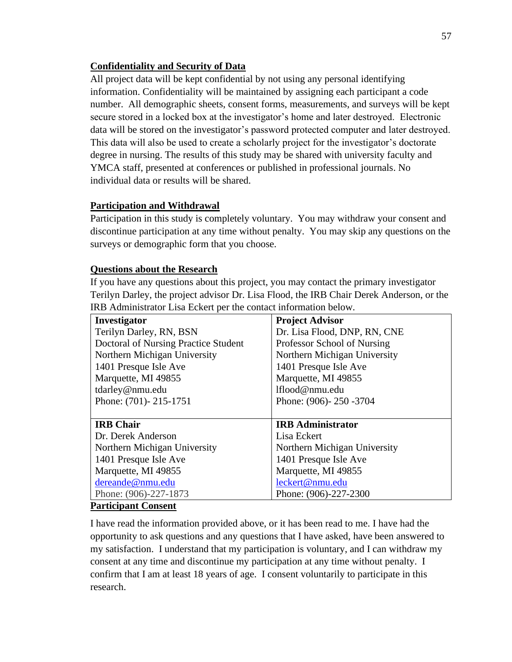## **Confidentiality and Security of Data**

All project data will be kept confidential by not using any personal identifying information. Confidentiality will be maintained by assigning each participant a code number. All demographic sheets, consent forms, measurements, and surveys will be kept secure stored in a locked box at the investigator's home and later destroyed. Electronic data will be stored on the investigator's password protected computer and later destroyed. This data will also be used to create a scholarly project for the investigator's doctorate degree in nursing. The results of this study may be shared with university faculty and YMCA staff, presented at conferences or published in professional journals. No individual data or results will be shared.

## **Participation and Withdrawal**

Participation in this study is completely voluntary. You may withdraw your consent and discontinue participation at any time without penalty. You may skip any questions on the surveys or demographic form that you choose.

### **Questions about the Research**

If you have any questions about this project, you may contact the primary investigator Terilyn Darley, the project advisor Dr. Lisa Flood, the IRB Chair Derek Anderson, or the IRB Administrator Lisa Eckert per the contact information below.

| Investigator                         | <b>Project Advisor</b>       |
|--------------------------------------|------------------------------|
| Terilyn Darley, RN, BSN              | Dr. Lisa Flood, DNP, RN, CNE |
| Doctoral of Nursing Practice Student | Professor School of Nursing  |
| Northern Michigan University         | Northern Michigan University |
| 1401 Presque Isle Ave                | 1401 Presque Isle Ave        |
| Marquette, MI 49855                  | Marquette, MI 49855          |
| tdarley@nmu.edu                      | lflood@nmu.edu               |
| Phone: (701)-215-1751                | Phone: (906)-250-3704        |
|                                      |                              |
| <b>IRB</b> Chair                     | <b>IRB</b> Administrator     |
| Dr. Derek Anderson                   | Lisa Eckert                  |
| Northern Michigan University         | Northern Michigan University |
| 1401 Presque Isle Ave                | 1401 Presque Isle Ave        |
| Marquette, MI 49855                  | Marquette, MI 49855          |
| dereande@nmu.edu                     | leckert@nmu.edu              |
| Phone: (906)-227-1873                | Phone: (906)-227-2300        |

## **Participant Consent**

I have read the information provided above, or it has been read to me. I have had the opportunity to ask questions and any questions that I have asked, have been answered to my satisfaction. I understand that my participation is voluntary, and I can withdraw my consent at any time and discontinue my participation at any time without penalty. I confirm that I am at least 18 years of age. I consent voluntarily to participate in this research.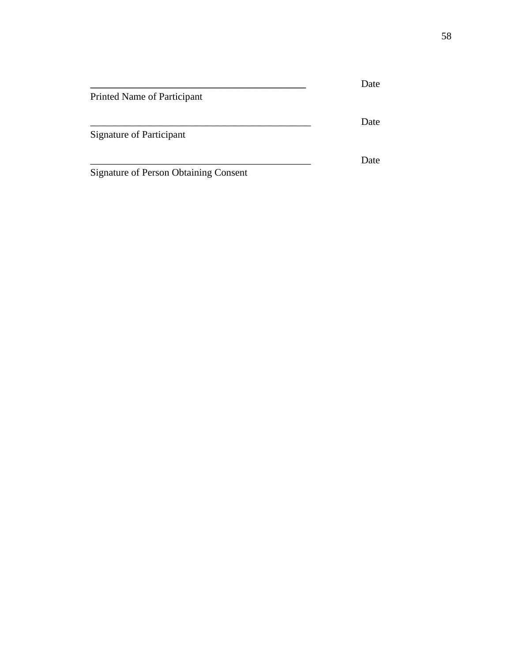|                                              | Date |
|----------------------------------------------|------|
| Printed Name of Participant                  |      |
|                                              | Date |
| Signature of Participant                     |      |
|                                              | Date |
| <b>Signature of Person Obtaining Consent</b> |      |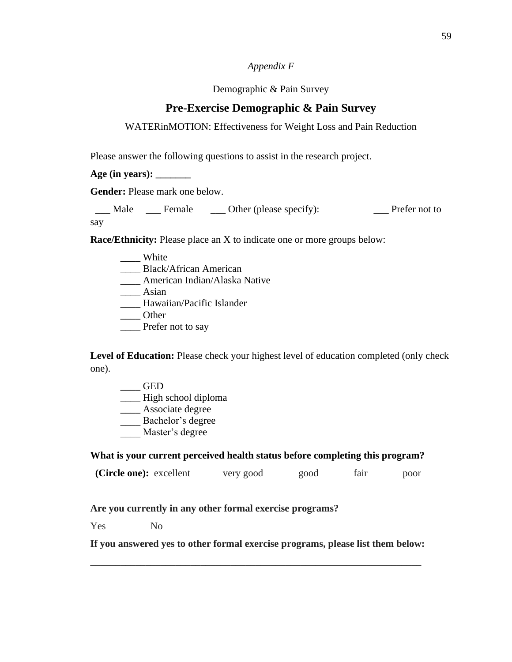### *Appendix F*

### Demographic & Pain Survey

## **Pre-Exercise Demographic & Pain Survey**

## WATERinMOTION: Effectiveness for Weight Loss and Pain Reduction

Please answer the following questions to assist in the research project.

**Age (in years): \_\_\_\_\_\_\_**

**Gender:** Please mark one below.

 **\_\_\_** Male **\_\_\_** Female **\_\_\_** Other (please specify): **\_\_\_** Prefer not to say

**Race/Ethnicity:** Please place an X to indicate one or more groups below:

- \_\_\_\_ White
- \_\_\_\_ Black/African American
- \_\_\_\_ American Indian/Alaska Native
- \_\_\_\_ Asian
- \_\_\_\_ Hawaiian/Pacific Islander
- \_\_\_\_ Other
- \_\_\_\_ Prefer not to say

Level of Education: Please check your highest level of education completed (only check one).

- $\_\_$  GED
- \_\_\_\_ High school diploma
- \_\_\_\_ Associate degree
- \_\_\_\_ Bachelor's degree
- \_\_\_\_ Master's degree

## **What is your current perceived health status before completing this program?**

| (Circle one): excellent | very good | good | tair | poor |
|-------------------------|-----------|------|------|------|
|-------------------------|-----------|------|------|------|

## **Are you currently in any other formal exercise programs?**

Yes No

**If you answered yes to other formal exercise programs, please list them below:**

\_\_\_\_\_\_\_\_\_\_\_\_\_\_\_\_\_\_\_\_\_\_\_\_\_\_\_\_\_\_\_\_\_\_\_\_\_\_\_\_\_\_\_\_\_\_\_\_\_\_\_\_\_\_\_\_\_\_\_\_\_\_\_\_\_\_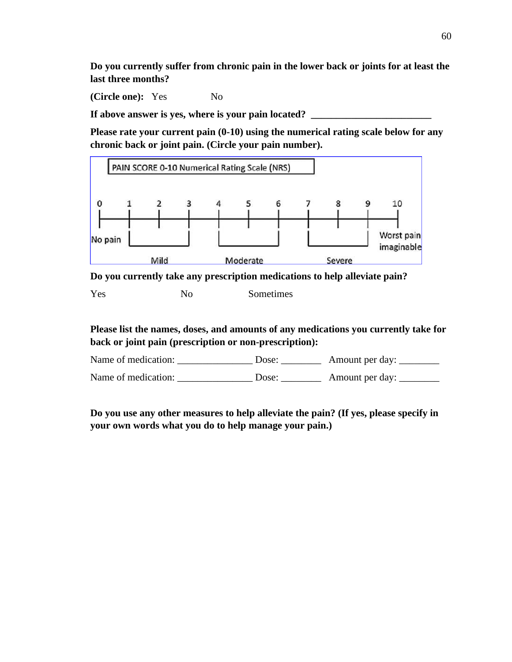**Do you currently suffer from chronic pain in the lower back or joints for at least the last three months?**

**(Circle one):** Yes No

If above answer is yes, where is your pain located? \_\_\_\_\_\_\_\_\_\_\_\_\_\_\_\_\_\_\_\_\_\_\_\_\_\_\_\_\_

**Please rate your current pain (0-10) using the numerical rating scale below for any chronic back or joint pain. (Circle your pain number).** 



**Do you currently take any prescription medications to help alleviate pain?** 

**Please list the names, doses, and amounts of any medications you currently take for back or joint pain (prescription or non-prescription):**

Name of medication: Dose: Amount per day:

Name of medication: \_\_\_\_\_\_\_\_\_\_\_\_\_\_\_ Dose: \_\_\_\_\_\_\_\_ Amount per day: \_\_\_\_\_\_\_\_

**Do you use any other measures to help alleviate the pain? (If yes, please specify in your own words what you do to help manage your pain.)**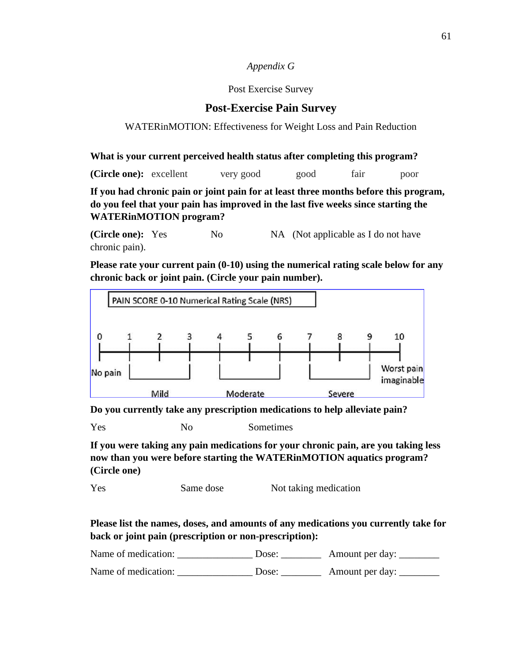### *Appendix G*

#### Post Exercise Survey

## **Post-Exercise Pain Survey**

### WATERinMOTION: Effectiveness for Weight Loss and Pain Reduction

**What is your current perceived health status after completing this program?** 

**(Circle one):** excellent very good good fair poor

**If you had chronic pain or joint pain for at least three months before this program, do you feel that your pain has improved in the last five weeks since starting the WATERinMOTION program?**

**(Circle one):** Yes No NA (Not applicable as I do not have chronic pain).

**Please rate your current pain (0-10) using the numerical rating scale below for any chronic back or joint pain. (Circle your pain number).** 



**Do you currently take any prescription medications to help alleviate pain?** 

Yes No Sometimes

**If you were taking any pain medications for your chronic pain, are you taking less now than you were before starting the WATERinMOTION aquatics program? (Circle one)**

Yes Same dose Not taking medication

**Please list the names, doses, and amounts of any medications you currently take for back or joint pain (prescription or non-prescription):**

| Name of medication: | Dose: | Amount per day: |
|---------------------|-------|-----------------|
| Name of medication: | Dose: | Amount per day: |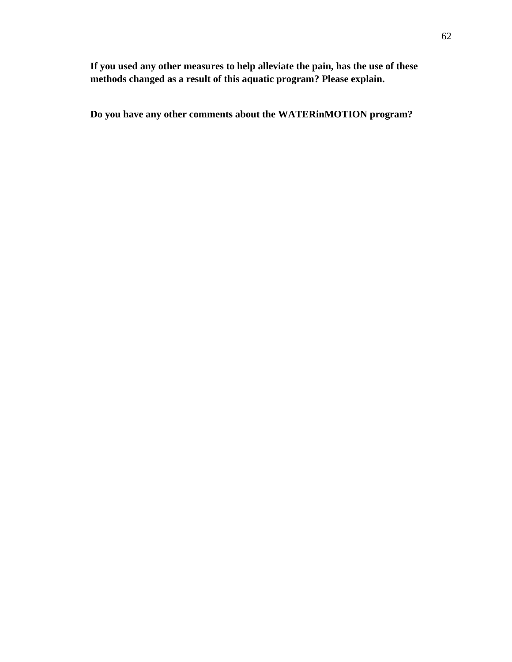**If you used any other measures to help alleviate the pain, has the use of these methods changed as a result of this aquatic program? Please explain.** 

**Do you have any other comments about the WATERinMOTION program?**